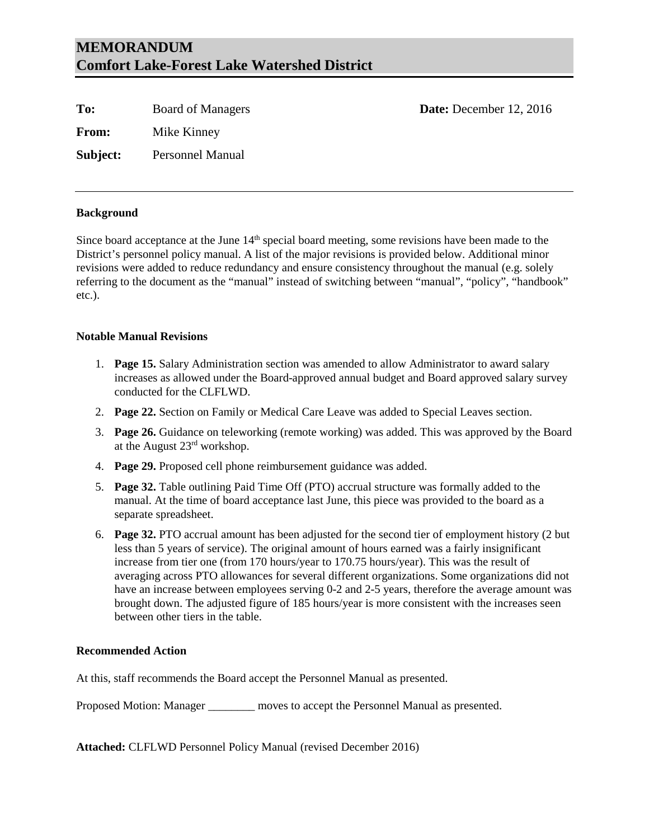## **MEMORANDUM Comfort Lake-Forest Lake Watershed District**

| To:          | <b>Board of Managers</b> | <b>Date:</b> December 12, 2016 |
|--------------|--------------------------|--------------------------------|
| <b>From:</b> | Mike Kinney              |                                |
| Subject:     | <b>Personnel Manual</b>  |                                |

#### **Background**

Since board acceptance at the June  $14<sup>th</sup>$  special board meeting, some revisions have been made to the District's personnel policy manual. A list of the major revisions is provided below. Additional minor revisions were added to reduce redundancy and ensure consistency throughout the manual (e.g. solely referring to the document as the "manual" instead of switching between "manual", "policy", "handbook" etc.).

#### **Notable Manual Revisions**

- 1. **Page 15.** Salary Administration section was amended to allow Administrator to award salary increases as allowed under the Board-approved annual budget and Board approved salary survey conducted for the CLFLWD.
- 2. **Page 22.** Section on Family or Medical Care Leave was added to Special Leaves section.
- 3. **Page 26.** Guidance on teleworking (remote working) was added. This was approved by the Board at the August 23rd workshop.
- 4. **Page 29.** Proposed cell phone reimbursement guidance was added.
- 5. **Page 32.** Table outlining Paid Time Off (PTO) accrual structure was formally added to the manual. At the time of board acceptance last June, this piece was provided to the board as a separate spreadsheet.
- 6. **Page 32.** PTO accrual amount has been adjusted for the second tier of employment history (2 but less than 5 years of service). The original amount of hours earned was a fairly insignificant increase from tier one (from 170 hours/year to 170.75 hours/year). This was the result of averaging across PTO allowances for several different organizations. Some organizations did not have an increase between employees serving 0-2 and 2-5 years, therefore the average amount was brought down. The adjusted figure of 185 hours/year is more consistent with the increases seen between other tiers in the table.

#### **Recommended Action**

At this, staff recommends the Board accept the Personnel Manual as presented.

Proposed Motion: Manager \_\_\_\_\_\_\_\_ moves to accept the Personnel Manual as presented.

**Attached:** CLFLWD Personnel Policy Manual (revised December 2016)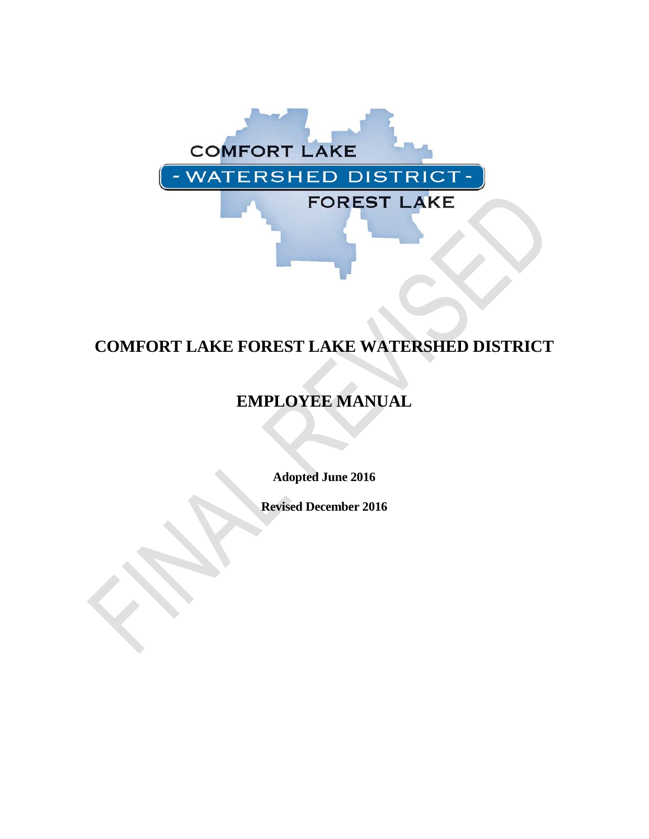

# **COMFORT LAKE FOREST LAKE WATERSHED DISTRICT**

# **EMPLOYEE MANUAL**

**Adopted June 2016**

**Revised December 2016**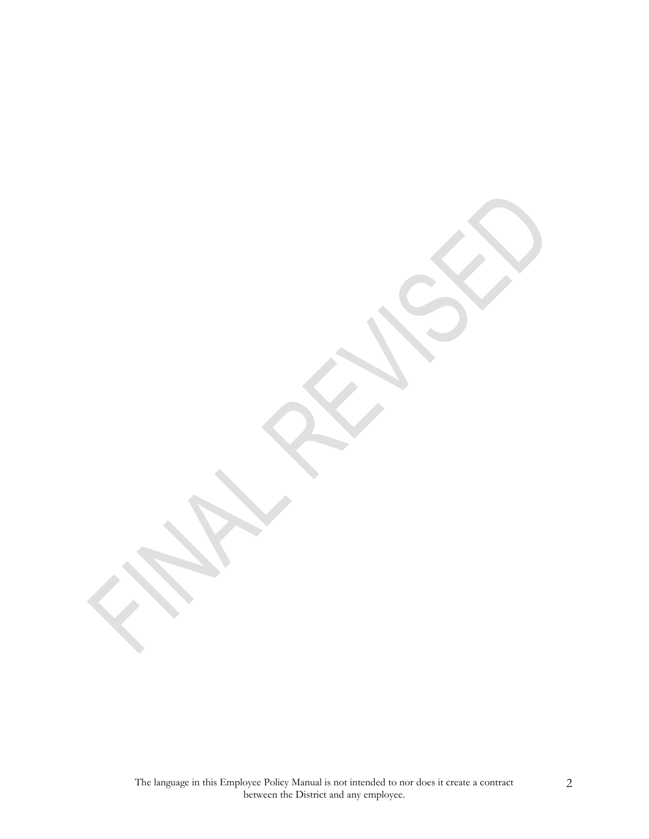The language in this Employee Policy Manual is not intended to nor does it create a contract between the District and any employee.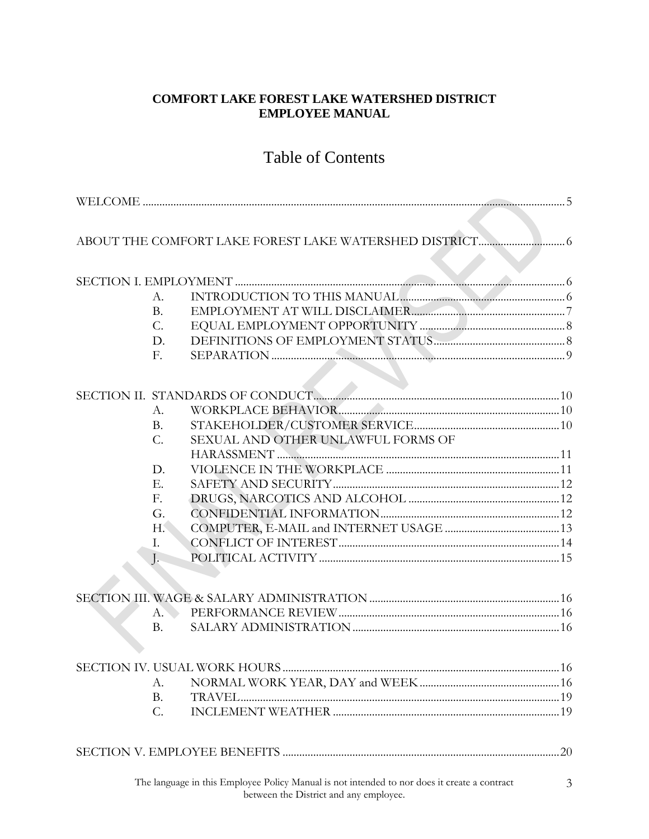#### **COMFORT LAKE FOREST LAKE WATERSHED DISTRICT EMPLOYEE MANUAL**

## **Table of Contents**

| A.        |                                    |  |
|-----------|------------------------------------|--|
| <b>B.</b> |                                    |  |
| C.        |                                    |  |
| D.        |                                    |  |
| F.        |                                    |  |
|           |                                    |  |
|           |                                    |  |
| А.        |                                    |  |
| <b>B.</b> |                                    |  |
| C.        | SEXUAL AND OTHER UNLAWFUL FORMS OF |  |
|           |                                    |  |
| D.        |                                    |  |
| Е.        |                                    |  |
| F.        |                                    |  |
| G.        |                                    |  |
|           | H.                                 |  |
| I.        |                                    |  |
|           |                                    |  |
|           |                                    |  |
|           |                                    |  |
| А.        |                                    |  |
| <b>B.</b> |                                    |  |
|           |                                    |  |
| А.        |                                    |  |
| <b>B.</b> |                                    |  |
| C.        |                                    |  |
|           |                                    |  |
|           |                                    |  |

 $\mathfrak{Z}$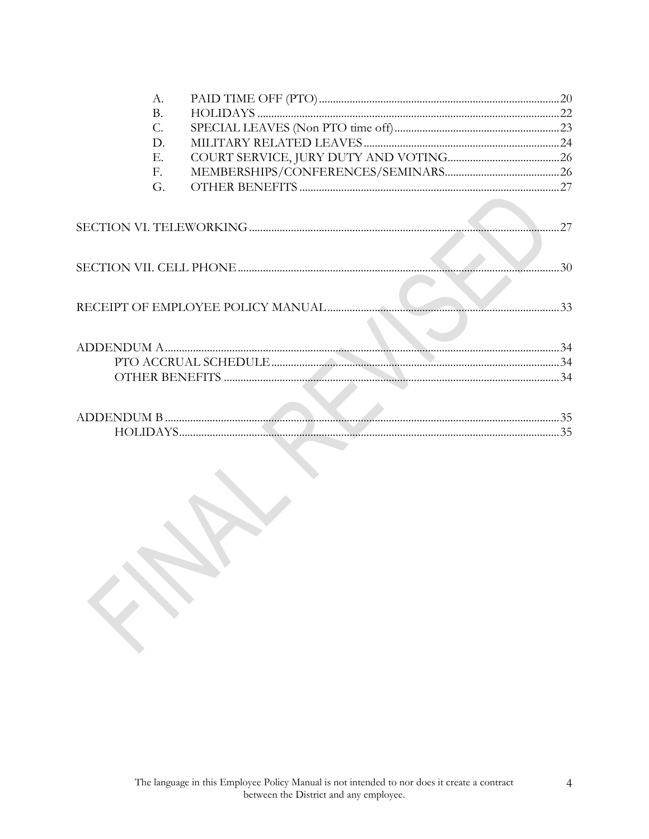| А.        |     |
|-----------|-----|
| <b>B.</b> |     |
| C.        |     |
| D.        |     |
| Е.        |     |
| F.        |     |
| G.        |     |
|           |     |
|           | 27  |
|           |     |
|           |     |
|           | .30 |
|           |     |
|           |     |
|           |     |
|           |     |
|           |     |
|           |     |
|           |     |
|           |     |
|           |     |
|           |     |
|           |     |
|           |     |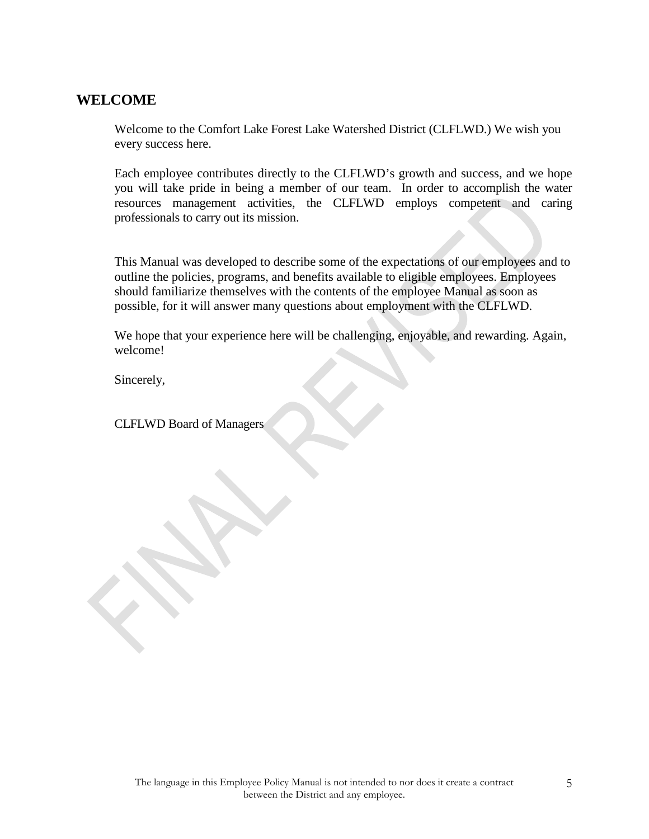## <span id="page-5-0"></span>**WELCOME**

Welcome to the Comfort Lake Forest Lake Watershed District (CLFLWD.) We wish you every success here.

Each employee contributes directly to the CLFLWD's growth and success, and we hope you will take pride in being a member of our team. In order to accomplish the water resources management activities, the CLFLWD employs competent and caring professionals to carry out its mission.

This Manual was developed to describe some of the expectations of our employees and to outline the policies, programs, and benefits available to eligible employees. Employees should familiarize themselves with the contents of the employee Manual as soon as possible, for it will answer many questions about employment with the CLFLWD.

We hope that your experience here will be challenging, enjoyable, and rewarding. Again, welcome!

Sincerely,

CLFLWD Board of Managers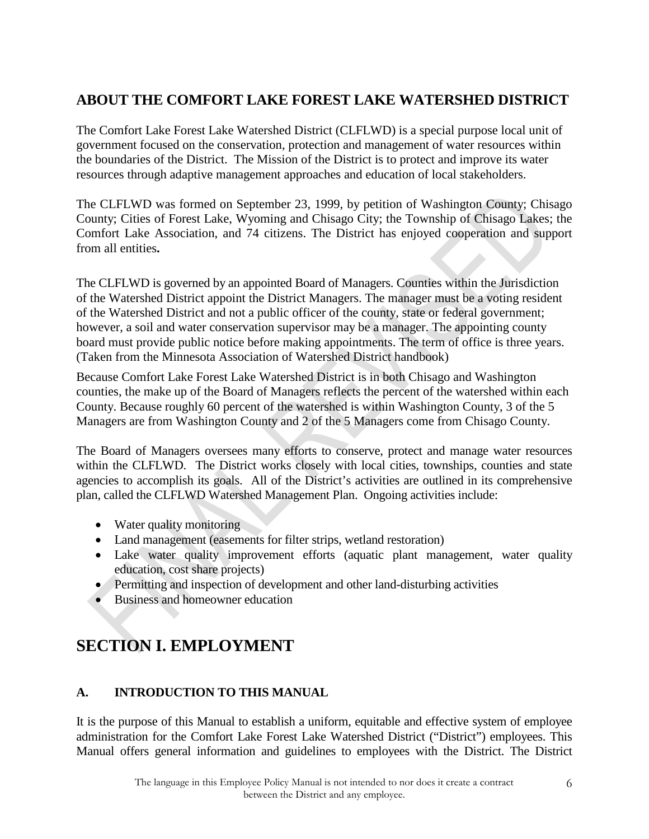## <span id="page-6-0"></span>**ABOUT THE COMFORT LAKE FOREST LAKE WATERSHED DISTRICT**

The Comfort Lake Forest Lake Watershed District (CLFLWD) is a special purpose local unit of government focused on the conservation, protection and management of water resources within the boundaries of the District. The Mission of the District is to protect and improve its water resources through adaptive management approaches and education of local stakeholders.

The CLFLWD was formed on September 23, 1999, by petition of Washington County; Chisago County; Cities of Forest Lake, Wyoming and Chisago City; the Township of Chisago Lakes; the Comfort Lake Association, and 74 citizens. The District has enjoyed cooperation and support from all entities**.**

The CLFLWD is governed by an appointed Board of Managers. Counties within the Jurisdiction of the Watershed District appoint the District Managers. The manager must be a voting resident of the Watershed District and not a public officer of the county, state or federal government; however, a soil and water conservation supervisor may be a manager. The appointing county board must provide public notice before making appointments. The term of office is three years. (Taken from the Minnesota Association of Watershed District handbook)

Because Comfort Lake Forest Lake Watershed District is in both Chisago and Washington counties, the make up of the Board of Managers reflects the percent of the watershed within each County. Because roughly 60 percent of the watershed is within Washington County, 3 of the 5 Managers are from Washington County and 2 of the 5 Managers come from Chisago County.

The Board of Managers oversees many efforts to conserve, protect and manage water resources within the CLFLWD. The District works closely with local cities, townships, counties and state agencies to accomplish its goals. All of the District's activities are outlined in its comprehensive plan, called the CLFLWD Watershed Management Plan. Ongoing activities include:

- Water quality monitoring
- Land management (easements for filter strips, wetland restoration)
- Lake water quality improvement efforts (aquatic plant management, water quality education, cost share projects)
- Permitting and inspection of development and other land-disturbing activities
- Business and homeowner education

# <span id="page-6-1"></span>**SECTION I. EMPLOYMENT**

## <span id="page-6-2"></span>**A. INTRODUCTION TO THIS MANUAL**

It is the purpose of this Manual to establish a uniform, equitable and effective system of employee administration for the Comfort Lake Forest Lake Watershed District ("District") employees. This Manual offers general information and guidelines to employees with the District. The District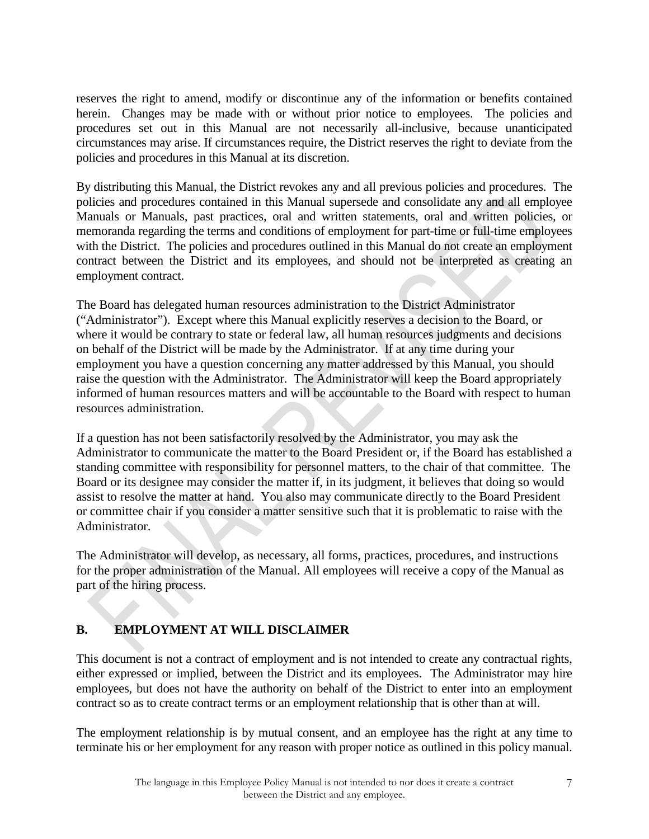reserves the right to amend, modify or discontinue any of the information or benefits contained herein. Changes may be made with or without prior notice to employees. The policies and procedures set out in this Manual are not necessarily all-inclusive, because unanticipated circumstances may arise. If circumstances require, the District reserves the right to deviate from the policies and procedures in this Manual at its discretion.

By distributing this Manual, the District revokes any and all previous policies and procedures. The policies and procedures contained in this Manual supersede and consolidate any and all employee Manuals or Manuals, past practices, oral and written statements, oral and written policies, or memoranda regarding the terms and conditions of employment for part-time or full-time employees with the District. The policies and procedures outlined in this Manual do not create an employment contract between the District and its employees, and should not be interpreted as creating an employment contract.

The Board has delegated human resources administration to the District Administrator ("Administrator"). Except where this Manual explicitly reserves a decision to the Board, or where it would be contrary to state or federal law, all human resources judgments and decisions on behalf of the District will be made by the Administrator. If at any time during your employment you have a question concerning any matter addressed by this Manual, you should raise the question with the Administrator. The Administrator will keep the Board appropriately informed of human resources matters and will be accountable to the Board with respect to human resources administration.

If a question has not been satisfactorily resolved by the Administrator, you may ask the Administrator to communicate the matter to the Board President or, if the Board has established a standing committee with responsibility for personnel matters, to the chair of that committee. The Board or its designee may consider the matter if, in its judgment, it believes that doing so would assist to resolve the matter at hand. You also may communicate directly to the Board President or committee chair if you consider a matter sensitive such that it is problematic to raise with the Administrator.

The Administrator will develop, as necessary, all forms, practices, procedures, and instructions for the proper administration of the Manual. All employees will receive a copy of the Manual as part of the hiring process.

## <span id="page-7-0"></span>**B. EMPLOYMENT AT WILL DISCLAIMER**

This document is not a contract of employment and is not intended to create any contractual rights, either expressed or implied, between the District and its employees. The Administrator may hire employees, but does not have the authority on behalf of the District to enter into an employment contract so as to create contract terms or an employment relationship that is other than at will.

The employment relationship is by mutual consent, and an employee has the right at any time to terminate his or her employment for any reason with proper notice as outlined in this policy manual.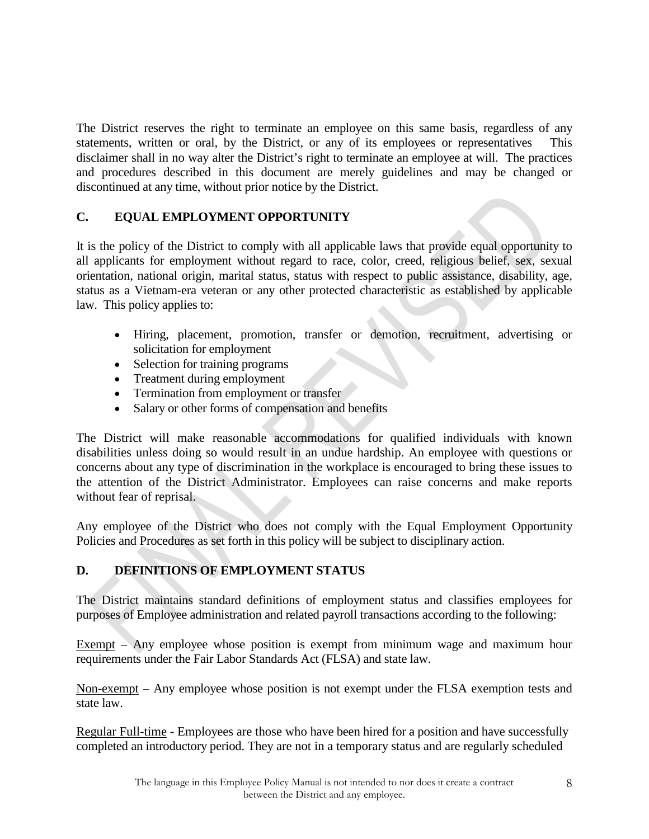The District reserves the right to terminate an employee on this same basis, regardless of any statements, written or oral, by the District, or any of its employees or representatives This disclaimer shall in no way alter the District's right to terminate an employee at will. The practices and procedures described in this document are merely guidelines and may be changed or discontinued at any time, without prior notice by the District.

## <span id="page-8-0"></span>**C. EQUAL EMPLOYMENT OPPORTUNITY**

It is the policy of the District to comply with all applicable laws that provide equal opportunity to all applicants for employment without regard to race, color, creed, religious belief, sex, sexual orientation, national origin, marital status, status with respect to public assistance, disability, age, status as a Vietnam-era veteran or any other protected characteristic as established by applicable law. This policy applies to:

- Hiring, placement, promotion, transfer or demotion, recruitment, advertising or solicitation for employment
- Selection for training programs
- Treatment during employment
- Termination from employment or transfer
- Salary or other forms of compensation and benefits

The District will make reasonable accommodations for qualified individuals with known disabilities unless doing so would result in an undue hardship. An employee with questions or concerns about any type of discrimination in the workplace is encouraged to bring these issues to the attention of the District Administrator. Employees can raise concerns and make reports without fear of reprisal.

Any employee of the District who does not comply with the Equal Employment Opportunity Policies and Procedures as set forth in this policy will be subject to disciplinary action.

## <span id="page-8-1"></span>**D. DEFINITIONS OF EMPLOYMENT STATUS**

The District maintains standard definitions of employment status and classifies employees for purposes of Employee administration and related payroll transactions according to the following:

 $Exempt$  – Any employee whose position is exempt from minimum wage and maximum hour requirements under the Fair Labor Standards Act (FLSA) and state law.

Non-exempt – Any employee whose position is not exempt under the FLSA exemption tests and state law.

Regular Full-time - Employees are those who have been hired for a position and have successfully completed an introductory period. They are not in a temporary status and are regularly scheduled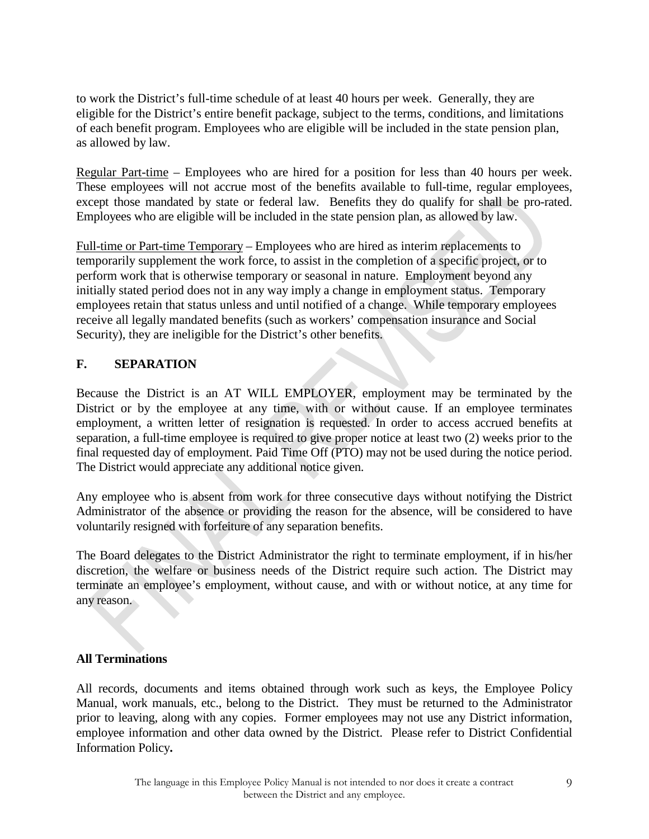to work the District's full-time schedule of at least 40 hours per week. Generally, they are eligible for the District's entire benefit package, subject to the terms, conditions, and limitations of each benefit program. Employees who are eligible will be included in the state pension plan, as allowed by law.

Regular Part-time – Employees who are hired for a position for less than 40 hours per week. These employees will not accrue most of the benefits available to full-time, regular employees, except those mandated by state or federal law. Benefits they do qualify for shall be pro-rated. Employees who are eligible will be included in the state pension plan, as allowed by law.

Full-time or Part-time Temporary – Employees who are hired as interim replacements to temporarily supplement the work force, to assist in the completion of a specific project, or to perform work that is otherwise temporary or seasonal in nature. Employment beyond any initially stated period does not in any way imply a change in employment status. Temporary employees retain that status unless and until notified of a change. While temporary employees receive all legally mandated benefits (such as workers' compensation insurance and Social Security), they are ineligible for the District's other benefits.

#### <span id="page-9-0"></span>**F. SEPARATION**

Because the District is an AT WILL EMPLOYER, employment may be terminated by the District or by the employee at any time, with or without cause. If an employee terminates employment, a written letter of resignation is requested. In order to access accrued benefits at separation, a full-time employee is required to give proper notice at least two (2) weeks prior to the final requested day of employment. Paid Time Off (PTO) may not be used during the notice period. The District would appreciate any additional notice given.

Any employee who is absent from work for three consecutive days without notifying the District Administrator of the absence or providing the reason for the absence, will be considered to have voluntarily resigned with forfeiture of any separation benefits.

The Board delegates to the District Administrator the right to terminate employment, if in his/her discretion, the welfare or business needs of the District require such action. The District may terminate an employee's employment, without cause, and with or without notice, at any time for any reason.

#### **All Terminations**

All records, documents and items obtained through work such as keys, the Employee Policy Manual, work manuals, etc., belong to the District. They must be returned to the Administrator prior to leaving, along with any copies. Former employees may not use any District information, employee information and other data owned by the District. Please refer to District Confidential Information Policy**.**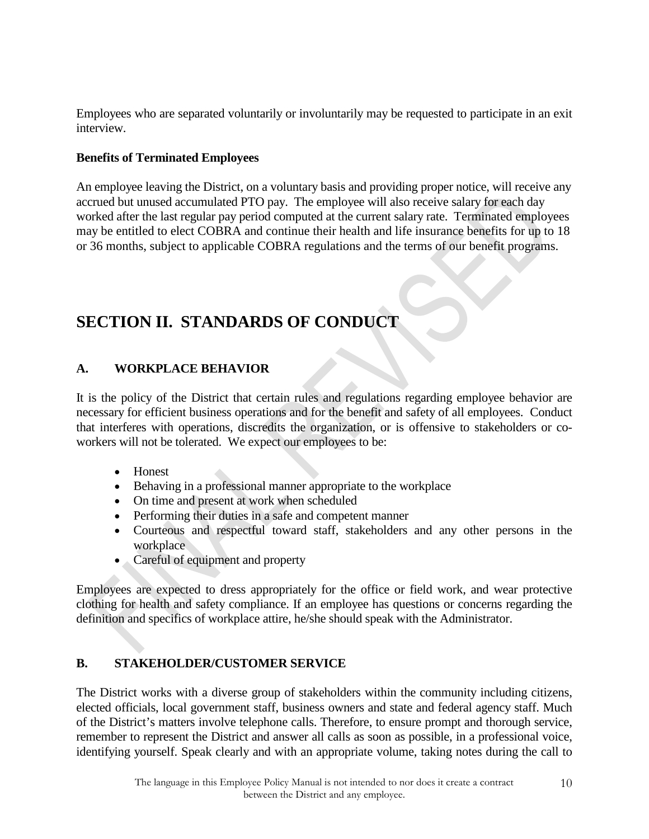Employees who are separated voluntarily or involuntarily may be requested to participate in an exit interview.

#### **Benefits of Terminated Employees**

An employee leaving the District, on a voluntary basis and providing proper notice, will receive any accrued but unused accumulated PTO pay. The employee will also receive salary for each day worked after the last regular pay period computed at the current salary rate. Terminated employees may be entitled to elect COBRA and continue their health and life insurance benefits for up to 18 or 36 months, subject to applicable COBRA regulations and the terms of our benefit programs.

# <span id="page-10-0"></span>**SECTION II. STANDARDS OF CONDUCT**

## <span id="page-10-1"></span>**A. WORKPLACE BEHAVIOR**

It is the policy of the District that certain rules and regulations regarding employee behavior are necessary for efficient business operations and for the benefit and safety of all employees. Conduct that interferes with operations, discredits the organization, or is offensive to stakeholders or coworkers will not be tolerated. We expect our employees to be:

- Honest
- Behaving in a professional manner appropriate to the workplace
- On time and present at work when scheduled
- Performing their duties in a safe and competent manner
- Courteous and respectful toward staff, stakeholders and any other persons in the workplace
- Careful of equipment and property

Employees are expected to dress appropriately for the office or field work, and wear protective clothing for health and safety compliance. If an employee has questions or concerns regarding the definition and specifics of workplace attire, he/she should speak with the Administrator.

## <span id="page-10-2"></span>**B. STAKEHOLDER/CUSTOMER SERVICE**

The District works with a diverse group of stakeholders within the community including citizens, elected officials, local government staff, business owners and state and federal agency staff. Much of the District's matters involve telephone calls. Therefore, to ensure prompt and thorough service, remember to represent the District and answer all calls as soon as possible, in a professional voice, identifying yourself. Speak clearly and with an appropriate volume, taking notes during the call to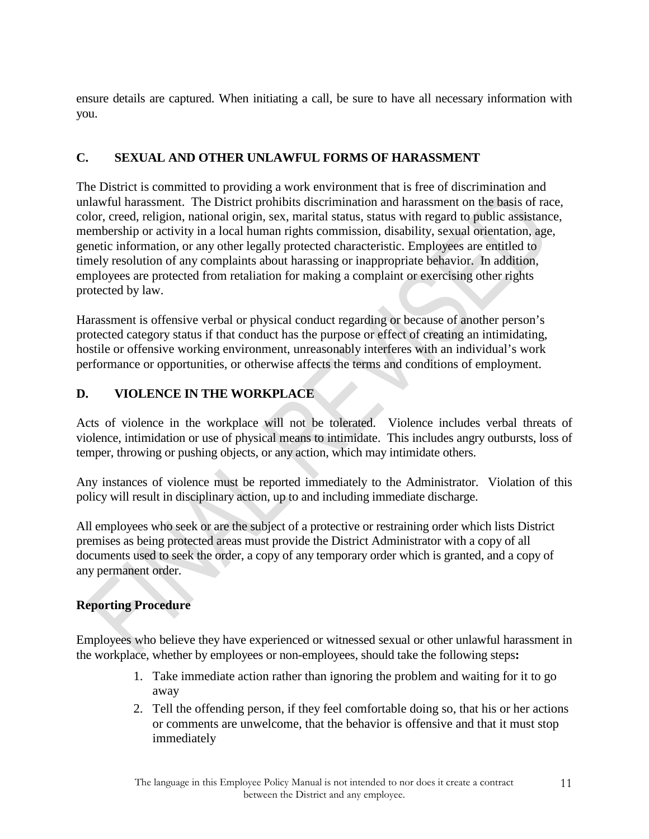ensure details are captured. When initiating a call, be sure to have all necessary information with you.

#### <span id="page-11-0"></span>**C. SEXUAL AND OTHER UNLAWFUL FORMS OF HARASSMENT**

The District is committed to providing a work environment that is free of discrimination and unlawful harassment. The District prohibits discrimination and harassment on the basis of race, color, creed, religion, national origin, sex, marital status, status with regard to public assistance, membership or activity in a local human rights commission, disability, sexual orientation, age, genetic information, or any other legally protected characteristic. Employees are entitled to timely resolution of any complaints about harassing or inappropriate behavior. In addition, employees are protected from retaliation for making a complaint or exercising other rights protected by law.

Harassment is offensive verbal or physical conduct regarding or because of another person's protected category status if that conduct has the purpose or effect of creating an intimidating, hostile or offensive working environment, unreasonably interferes with an individual's work performance or opportunities, or otherwise affects the terms and conditions of employment.

## <span id="page-11-1"></span>**D. VIOLENCE IN THE WORKPLACE**

Acts of violence in the workplace will not be tolerated. Violence includes verbal threats of violence, intimidation or use of physical means to intimidate. This includes angry outbursts, loss of temper, throwing or pushing objects, or any action, which may intimidate others.

Any instances of violence must be reported immediately to the Administrator. Violation of this policy will result in disciplinary action, up to and including immediate discharge.

All employees who seek or are the subject of a protective or restraining order which lists District premises as being protected areas must provide the District Administrator with a copy of all documents used to seek the order, a copy of any temporary order which is granted, and a copy of any permanent order.

## **Reporting Procedure**

Employees who believe they have experienced or witnessed sexual or other unlawful harassment in the workplace, whether by employees or non-employees, should take the following steps**:**

- 1. Take immediate action rather than ignoring the problem and waiting for it to go away
- 2. Tell the offending person, if they feel comfortable doing so, that his or her actions or comments are unwelcome, that the behavior is offensive and that it must stop immediately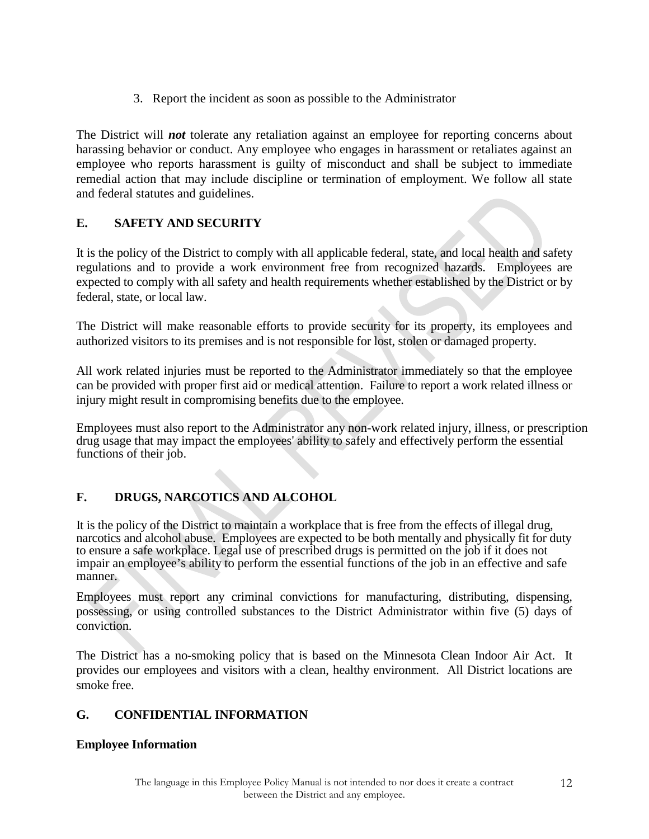3. Report the incident as soon as possible to the Administrator

The District will *not* tolerate any retaliation against an employee for reporting concerns about harassing behavior or conduct. Any employee who engages in harassment or retaliates against an employee who reports harassment is guilty of misconduct and shall be subject to immediate remedial action that may include discipline or termination of employment. We follow all state and federal statutes and guidelines.

## <span id="page-12-0"></span>**E. SAFETY AND SECURITY**

It is the policy of the District to comply with all applicable federal, state, and local health and safety regulations and to provide a work environment free from recognized hazards. Employees are expected to comply with all safety and health requirements whether established by the District or by federal, state, or local law.

The District will make reasonable efforts to provide security for its property, its employees and authorized visitors to its premises and is not responsible for lost, stolen or damaged property.

All work related injuries must be reported to the Administrator immediately so that the employee can be provided with proper first aid or medical attention. Failure to report a work related illness or injury might result in compromising benefits due to the employee.

Employees must also report to the Administrator any non-work related injury, illness, or prescription drug usage that may impact the employees' ability to safely and effectively perform the essential functions of their job.

## <span id="page-12-1"></span>**F. DRUGS, NARCOTICS AND ALCOHOL**

It is the policy of the District to maintain a workplace that is free from the effects of illegal drug, narcotics and alcohol abuse. Employees are expected to be both mentally and physically fit for duty to ensure a safe workplace. Legal use of prescribed drugs is permitted on the job if it does not impair an employee's ability to perform the essential functions of the job in an effective and safe manner.

Employees must report any criminal convictions for manufacturing, distributing, dispensing, possessing, or using controlled substances to the District Administrator within five (5) days of conviction.

The District has a no-smoking policy that is based on the Minnesota Clean Indoor Air Act. It provides our employees and visitors with a clean, healthy environment. All District locations are smoke free.

#### <span id="page-12-2"></span>**G. CONFIDENTIAL INFORMATION**

#### **Employee Information**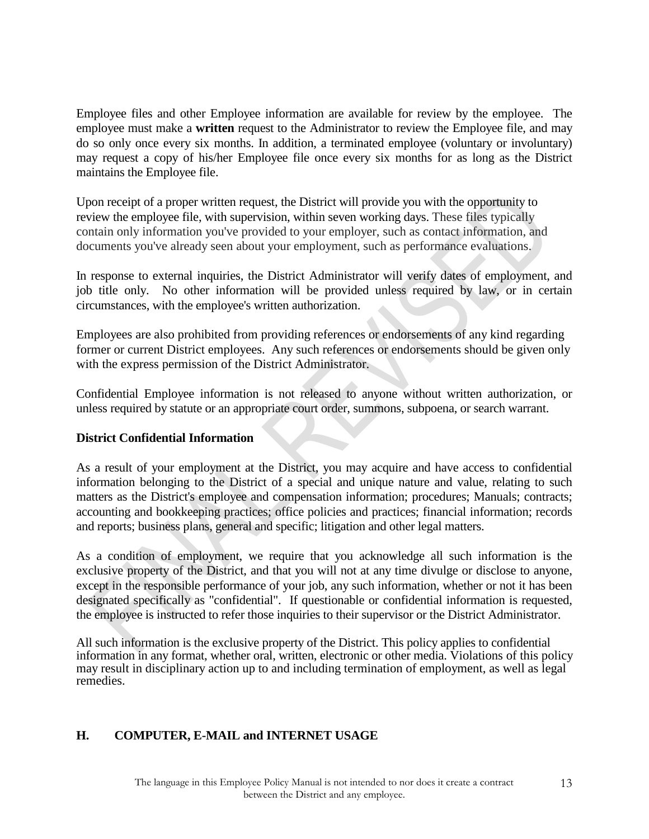Employee files and other Employee information are available for review by the employee. The employee must make a **written** request to the Administrator to review the Employee file, and may do so only once every six months. In addition, a terminated employee (voluntary or involuntary) may request a copy of his/her Employee file once every six months for as long as the District maintains the Employee file.

Upon receipt of a proper written request, the District will provide you with the opportunity to review the employee file, with supervision, within seven working days. These files typically contain only information you've provided to your employer, such as contact information, and documents you've already seen about your employment, such as performance evaluations.

In response to external inquiries, the District Administrator will verify dates of employment, and job title only. No other information will be provided unless required by law, or in certain circumstances, with the employee's written authorization.

Employees are also prohibited from providing references or endorsements of any kind regarding former or current District employees. Any such references or endorsements should be given only with the express permission of the District Administrator.

Confidential Employee information is not released to anyone without written authorization, or unless required by statute or an appropriate court order, summons, subpoena, or search warrant.

#### **District Confidential Information**

As a result of your employment at the District, you may acquire and have access to confidential information belonging to the District of a special and unique nature and value, relating to such matters as the District's employee and compensation information; procedures; Manuals; contracts; accounting and bookkeeping practices; office policies and practices; financial information; records and reports; business plans, general and specific; litigation and other legal matters.

As a condition of employment, we require that you acknowledge all such information is the exclusive property of the District, and that you will not at any time divulge or disclose to anyone, except in the responsible performance of your job, any such information, whether or not it has been designated specifically as "confidential". If questionable or confidential information is requested, the employee is instructed to refer those inquiries to their supervisor or the District Administrator.

All such information is the exclusive property of the District. This policy applies to confidential information in any format, whether oral, written, electronic or other media. Violations of this policy may result in disciplinary action up to and including termination of employment, as well as legal remedies.

#### <span id="page-13-0"></span>**H. COMPUTER, E-MAIL and INTERNET USAGE**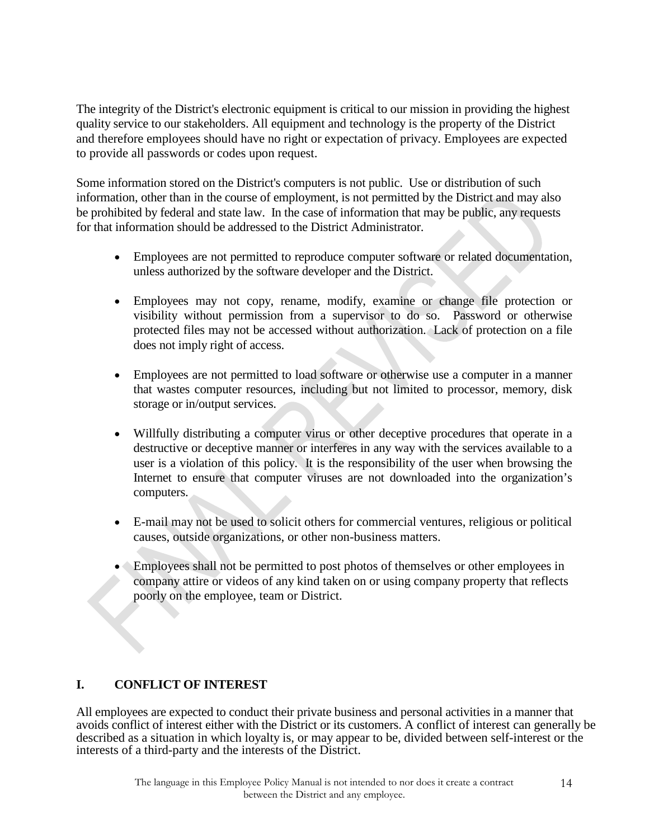The integrity of the District's electronic equipment is critical to our mission in providing the highest quality service to our stakeholders. All equipment and technology is the property of the District and therefore employees should have no right or expectation of privacy. Employees are expected to provide all passwords or codes upon request.

Some information stored on the District's computers is not public. Use or distribution of such information, other than in the course of employment, is not permitted by the District and may also be prohibited by federal and state law. In the case of information that may be public, any requests for that information should be addressed to the District Administrator.

- Employees are not permitted to reproduce computer software or related documentation, unless authorized by the software developer and the District.
- Employees may not copy, rename, modify, examine or change file protection or visibility without permission from a supervisor to do so. Password or otherwise protected files may not be accessed without authorization. Lack of protection on a file does not imply right of access.
- Employees are not permitted to load software or otherwise use a computer in a manner that wastes computer resources, including but not limited to processor, memory, disk storage or in/output services.
- Willfully distributing a computer virus or other deceptive procedures that operate in a destructive or deceptive manner or interferes in any way with the services available to a user is a violation of this policy. It is the responsibility of the user when browsing the Internet to ensure that computer viruses are not downloaded into the organization's computers.
- E-mail may not be used to solicit others for commercial ventures, religious or political causes, outside organizations, or other non-business matters.
- Employees shall not be permitted to post photos of themselves or other employees in company attire or videos of any kind taken on or using company property that reflects poorly on the employee, team or District.

## <span id="page-14-0"></span>**I. CONFLICT OF INTEREST**

All employees are expected to conduct their private business and personal activities in a manner that avoids conflict of interest either with the District or its customers. A conflict of interest can generally be described as a situation in which loyalty is, or may appear to be, divided between self-interest or the interests of a third-party and the interests of the District.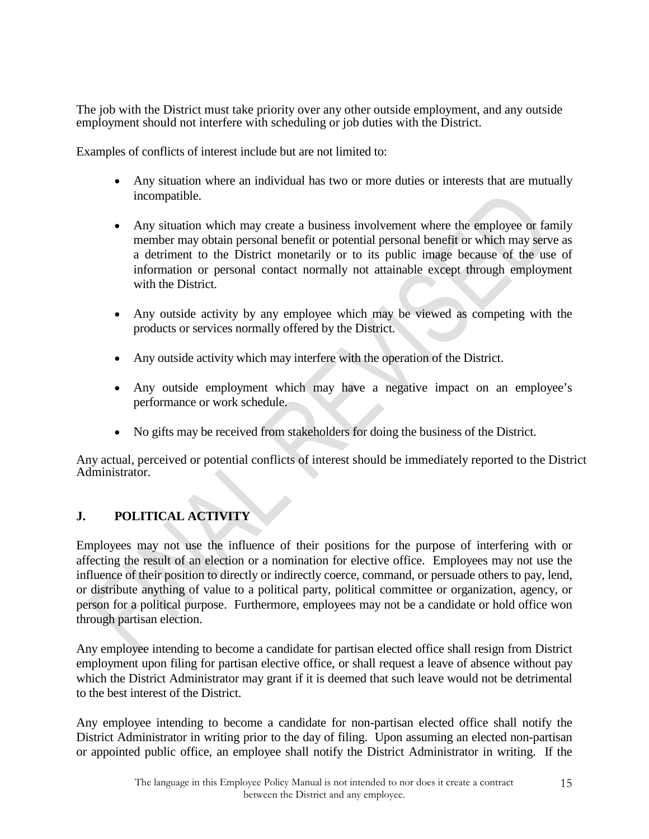The job with the District must take priority over any other outside employment, and any outside employment should not interfere with scheduling or job duties with the District.

Examples of conflicts of interest include but are not limited to:

- Any situation where an individual has two or more duties or interests that are mutually incompatible.
- Any situation which may create a business involvement where the employee or family member may obtain personal benefit or potential personal benefit or which may serve as a detriment to the District monetarily or to its public image because of the use of information or personal contact normally not attainable except through employment with the District.
- Any outside activity by any employee which may be viewed as competing with the products or services normally offered by the District.
- Any outside activity which may interfere with the operation of the District.
- Any outside employment which may have a negative impact on an employee's performance or work schedule.
- No gifts may be received from stakeholders for doing the business of the District.

Any actual, perceived or potential conflicts of interest should be immediately reported to the District Administrator.

## <span id="page-15-0"></span>**J. POLITICAL ACTIVITY**

Employees may not use the influence of their positions for the purpose of interfering with or affecting the result of an election or a nomination for elective office. Employees may not use the influence of their position to directly or indirectly coerce, command, or persuade others to pay, lend, or distribute anything of value to a political party, political committee or organization, agency, or person for a political purpose. Furthermore, employees may not be a candidate or hold office won through partisan election.

Any employee intending to become a candidate for partisan elected office shall resign from District employment upon filing for partisan elective office, or shall request a leave of absence without pay which the District Administrator may grant if it is deemed that such leave would not be detrimental to the best interest of the District.

Any employee intending to become a candidate for non-partisan elected office shall notify the District Administrator in writing prior to the day of filing. Upon assuming an elected non-partisan or appointed public office, an employee shall notify the District Administrator in writing. If the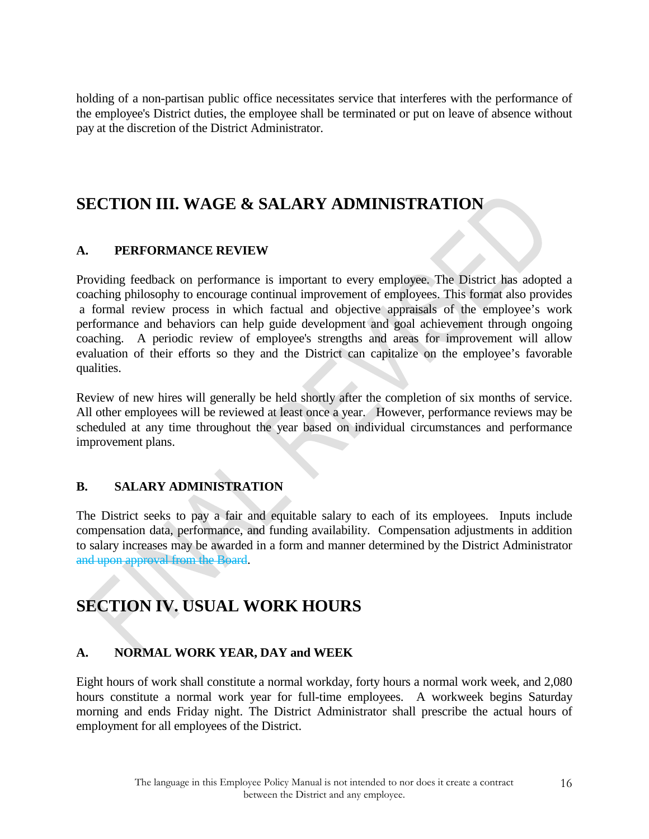holding of a non-partisan public office necessitates service that interferes with the performance of the employee's District duties, the employee shall be terminated or put on leave of absence without pay at the discretion of the District Administrator.

## <span id="page-16-0"></span>**SECTION III. WAGE & SALARY ADMINISTRATION**

#### <span id="page-16-1"></span>**A. PERFORMANCE REVIEW**

Providing feedback on performance is important to every employee. The District has adopted a coaching philosophy to encourage continual improvement of employees. This format also provides a formal review process in which factual and objective appraisals of the employee's work performance and behaviors can help guide development and goal achievement through ongoing coaching. A periodic review of employee's strengths and areas for improvement will allow evaluation of their efforts so they and the District can capitalize on the employee's favorable qualities.

Review of new hires will generally be held shortly after the completion of six months of service. All other employees will be reviewed at least once a year. However, performance reviews may be scheduled at any time throughout the year based on individual circumstances and performance improvement plans.

#### <span id="page-16-2"></span>**B. SALARY ADMINISTRATION**

The District seeks to pay a fair and equitable salary to each of its employees. Inputs include compensation data, performance, and funding availability. Compensation adjustments in addition to salary increases may be awarded in a form and manner determined by the District Administrator and upon approval from the Board.

## <span id="page-16-3"></span>**SECTION IV. USUAL WORK HOURS**

#### <span id="page-16-4"></span>**A. NORMAL WORK YEAR, DAY and WEEK**

Eight hours of work shall constitute a normal workday, forty hours a normal work week, and 2,080 hours constitute a normal work year for full-time employees. A workweek begins Saturday morning and ends Friday night. The District Administrator shall prescribe the actual hours of employment for all employees of the District.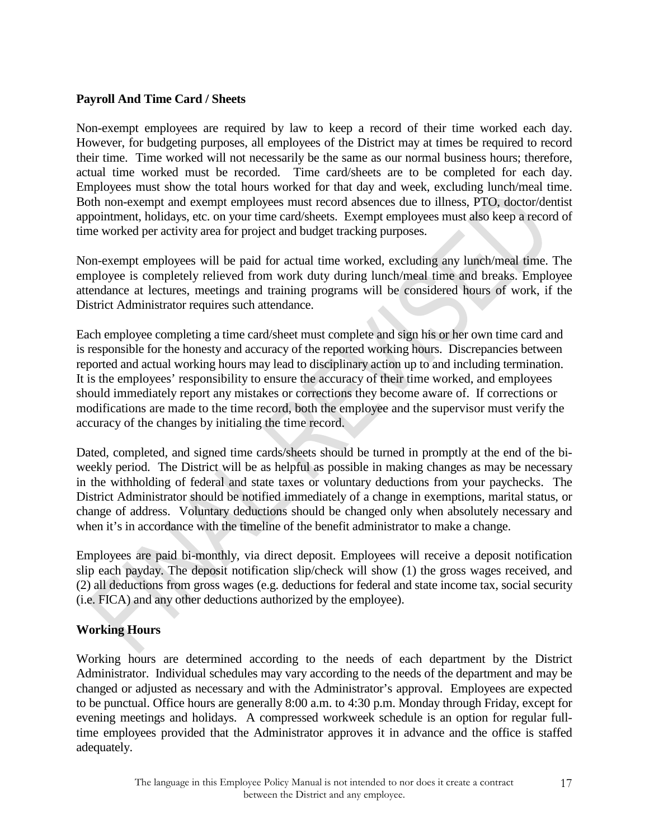#### **Payroll And Time Card / Sheets**

Non-exempt employees are required by law to keep a record of their time worked each day. However, for budgeting purposes, all employees of the District may at times be required to record their time. Time worked will not necessarily be the same as our normal business hours; therefore, actual time worked must be recorded. Time card/sheets are to be completed for each day. Employees must show the total hours worked for that day and week, excluding lunch/meal time. Both non-exempt and exempt employees must record absences due to illness, PTO, doctor/dentist appointment, holidays, etc. on your time card/sheets. Exempt employees must also keep a record of time worked per activity area for project and budget tracking purposes.

Non-exempt employees will be paid for actual time worked, excluding any lunch/meal time. The employee is completely relieved from work duty during lunch/meal time and breaks. Employee attendance at lectures, meetings and training programs will be considered hours of work, if the District Administrator requires such attendance.

Each employee completing a time card/sheet must complete and sign his or her own time card and is responsible for the honesty and accuracy of the reported working hours. Discrepancies between reported and actual working hours may lead to disciplinary action up to and including termination. It is the employees' responsibility to ensure the accuracy of their time worked, and employees should immediately report any mistakes or corrections they become aware of. If corrections or modifications are made to the time record, both the employee and the supervisor must verify the accuracy of the changes by initialing the time record.

Dated, completed, and signed time cards/sheets should be turned in promptly at the end of the biweekly period. The District will be as helpful as possible in making changes as may be necessary in the withholding of federal and state taxes or voluntary deductions from your paychecks. The District Administrator should be notified immediately of a change in exemptions, marital status, or change of address. Voluntary deductions should be changed only when absolutely necessary and when it's in accordance with the timeline of the benefit administrator to make a change.

Employees are paid bi-monthly, via direct deposit. Employees will receive a deposit notification slip each payday. The deposit notification slip/check will show (1) the gross wages received, and (2) all deductions from gross wages (e.g. deductions for federal and state income tax, social security (i.e. FICA) and any other deductions authorized by the employee).

#### **Working Hours**

Working hours are determined according to the needs of each department by the District Administrator. Individual schedules may vary according to the needs of the department and may be changed or adjusted as necessary and with the Administrator's approval. Employees are expected to be punctual. Office hours are generally 8:00 a.m. to 4:30 p.m. Monday through Friday, except for evening meetings and holidays. A compressed workweek schedule is an option for regular fulltime employees provided that the Administrator approves it in advance and the office is staffed adequately.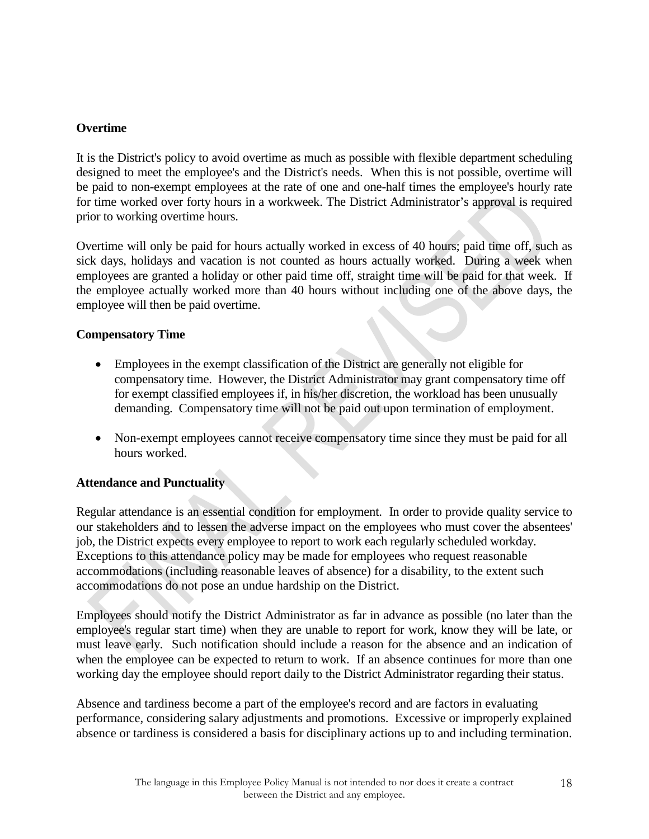#### **Overtime**

It is the District's policy to avoid overtime as much as possible with flexible department scheduling designed to meet the employee's and the District's needs. When this is not possible, overtime will be paid to non-exempt employees at the rate of one and one-half times the employee's hourly rate for time worked over forty hours in a workweek. The District Administrator's approval is required prior to working overtime hours.

Overtime will only be paid for hours actually worked in excess of 40 hours; paid time off, such as sick days, holidays and vacation is not counted as hours actually worked. During a week when employees are granted a holiday or other paid time off, straight time will be paid for that week. If the employee actually worked more than 40 hours without including one of the above days, the employee will then be paid overtime.

#### **Compensatory Time**

- Employees in the exempt classification of the District are generally not eligible for compensatory time. However, the District Administrator may grant compensatory time off for exempt classified employees if, in his/her discretion, the workload has been unusually demanding. Compensatory time will not be paid out upon termination of employment.
- Non-exempt employees cannot receive compensatory time since they must be paid for all hours worked.

#### **Attendance and Punctuality**

Regular attendance is an essential condition for employment. In order to provide quality service to our stakeholders and to lessen the adverse impact on the employees who must cover the absentees' job, the District expects every employee to report to work each regularly scheduled workday. Exceptions to this attendance policy may be made for employees who request reasonable accommodations (including reasonable leaves of absence) for a disability, to the extent such accommodations do not pose an undue hardship on the District.

Employees should notify the District Administrator as far in advance as possible (no later than the employee's regular start time) when they are unable to report for work, know they will be late, or must leave early. Such notification should include a reason for the absence and an indication of when the employee can be expected to return to work. If an absence continues for more than one working day the employee should report daily to the District Administrator regarding their status.

Absence and tardiness become a part of the employee's record and are factors in evaluating performance, considering salary adjustments and promotions. Excessive or improperly explained absence or tardiness is considered a basis for disciplinary actions up to and including termination.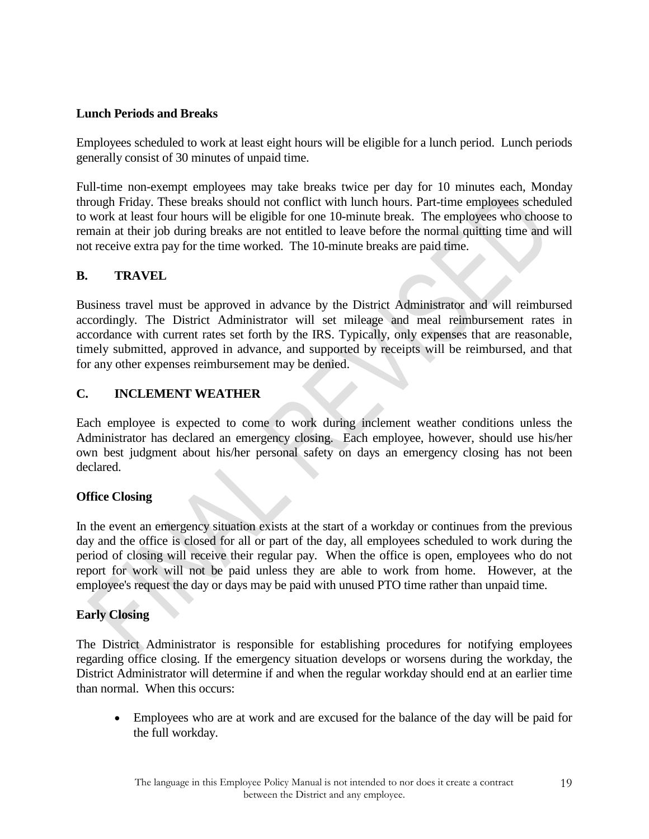#### **Lunch Periods and Breaks**

Employees scheduled to work at least eight hours will be eligible for a lunch period. Lunch periods generally consist of 30 minutes of unpaid time.

Full-time non-exempt employees may take breaks twice per day for 10 minutes each, Monday through Friday. These breaks should not conflict with lunch hours. Part-time employees scheduled to work at least four hours will be eligible for one 10-minute break. The employees who choose to remain at their job during breaks are not entitled to leave before the normal quitting time and will not receive extra pay for the time worked. The 10-minute breaks are paid time.

#### <span id="page-19-0"></span>**B. TRAVEL**

Business travel must be approved in advance by the District Administrator and will reimbursed accordingly. The District Administrator will set mileage and meal reimbursement rates in accordance with current rates set forth by the IRS. Typically, only expenses that are reasonable, timely submitted, approved in advance, and supported by receipts will be reimbursed, and that for any other expenses reimbursement may be denied.

## <span id="page-19-1"></span>**C. INCLEMENT WEATHER**

Each employee is expected to come to work during inclement weather conditions unless the Administrator has declared an emergency closing. Each employee, however, should use his/her own best judgment about his/her personal safety on days an emergency closing has not been declared.

#### **Office Closing**

In the event an emergency situation exists at the start of a workday or continues from the previous day and the office is closed for all or part of the day, all employees scheduled to work during the period of closing will receive their regular pay. When the office is open, employees who do not report for work will not be paid unless they are able to work from home. However, at the employee's request the day or days may be paid with unused PTO time rather than unpaid time.

#### **Early Closing**

The District Administrator is responsible for establishing procedures for notifying employees regarding office closing. If the emergency situation develops or worsens during the workday, the District Administrator will determine if and when the regular workday should end at an earlier time than normal. When this occurs:

• Employees who are at work and are excused for the balance of the day will be paid for the full workday.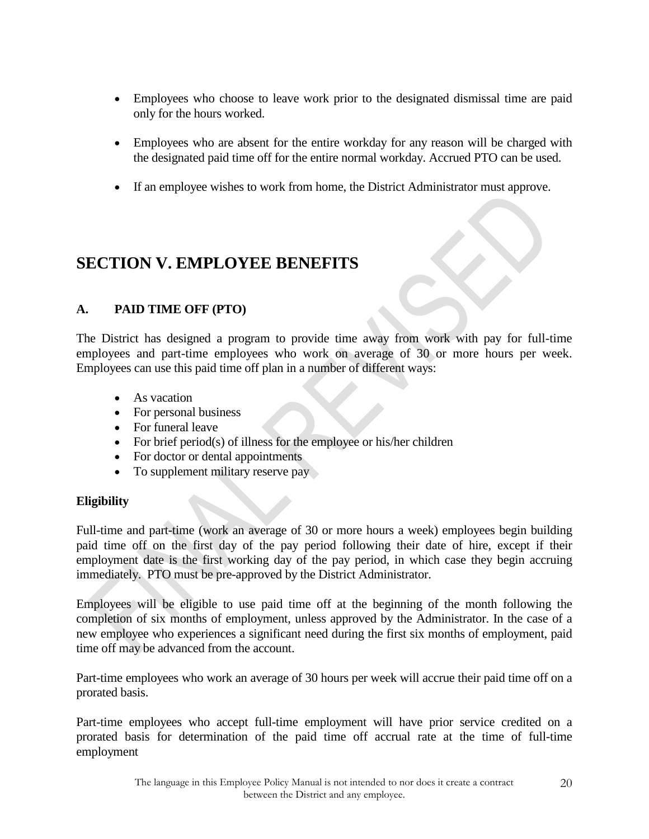- Employees who choose to leave work prior to the designated dismissal time are paid only for the hours worked.
- Employees who are absent for the entire workday for any reason will be charged with the designated paid time off for the entire normal workday. Accrued PTO can be used.
- If an employee wishes to work from home, the District Administrator must approve.

## <span id="page-20-0"></span>**SECTION V. EMPLOYEE BENEFITS**

## <span id="page-20-1"></span>**A. PAID TIME OFF (PTO)**

The District has designed a program to provide time away from work with pay for full-time employees and part-time employees who work on average of 30 or more hours per week. Employees can use this paid time off plan in a number of different ways:

- As vacation
- For personal business
- For funeral leave
- For brief period(s) of illness for the employee or his/her children
- For doctor or dental appointments
- To supplement military reserve pay

## **Eligibility**

Full-time and part-time (work an average of 30 or more hours a week) employees begin building paid time off on the first day of the pay period following their date of hire, except if their employment date is the first working day of the pay period, in which case they begin accruing immediately. PTO must be pre-approved by the District Administrator.

Employees will be eligible to use paid time off at the beginning of the month following the completion of six months of employment, unless approved by the Administrator. In the case of a new employee who experiences a significant need during the first six months of employment, paid time off may be advanced from the account.

Part-time employees who work an average of 30 hours per week will accrue their paid time off on a prorated basis.

Part-time employees who accept full-time employment will have prior service credited on a prorated basis for determination of the paid time off accrual rate at the time of full-time employment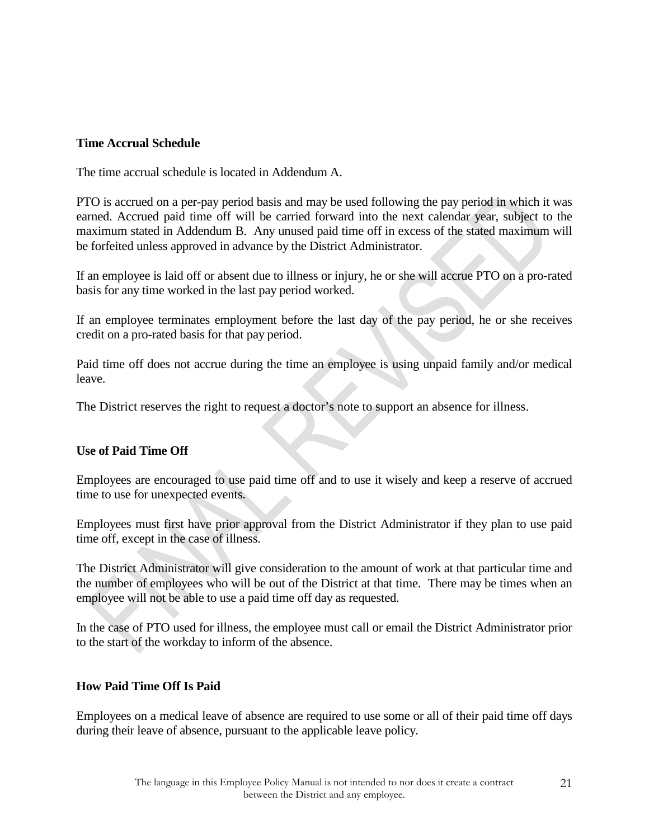#### **Time Accrual Schedule**

The time accrual schedule is located in Addendum A.

PTO is accrued on a per-pay period basis and may be used following the pay period in which it was earned. Accrued paid time off will be carried forward into the next calendar year, subject to the maximum stated in Addendum B. Any unused paid time off in excess of the stated maximum will be forfeited unless approved in advance by the District Administrator.

If an employee is laid off or absent due to illness or injury, he or she will accrue PTO on a pro-rated basis for any time worked in the last pay period worked.

If an employee terminates employment before the last day of the pay period, he or she receives credit on a pro-rated basis for that pay period.

Paid time off does not accrue during the time an employee is using unpaid family and/or medical leave.

The District reserves the right to request a doctor's note to support an absence for illness.

#### **Use of Paid Time Off**

Employees are encouraged to use paid time off and to use it wisely and keep a reserve of accrued time to use for unexpected events.

Employees must first have prior approval from the District Administrator if they plan to use paid time off, except in the case of illness.

The District Administrator will give consideration to the amount of work at that particular time and the number of employees who will be out of the District at that time. There may be times when an employee will not be able to use a paid time off day as requested.

In the case of PTO used for illness, the employee must call or email the District Administrator prior to the start of the workday to inform of the absence.

#### **How Paid Time Off Is Paid**

Employees on a medical leave of absence are required to use some or all of their paid time off days during their leave of absence, pursuant to the applicable leave policy.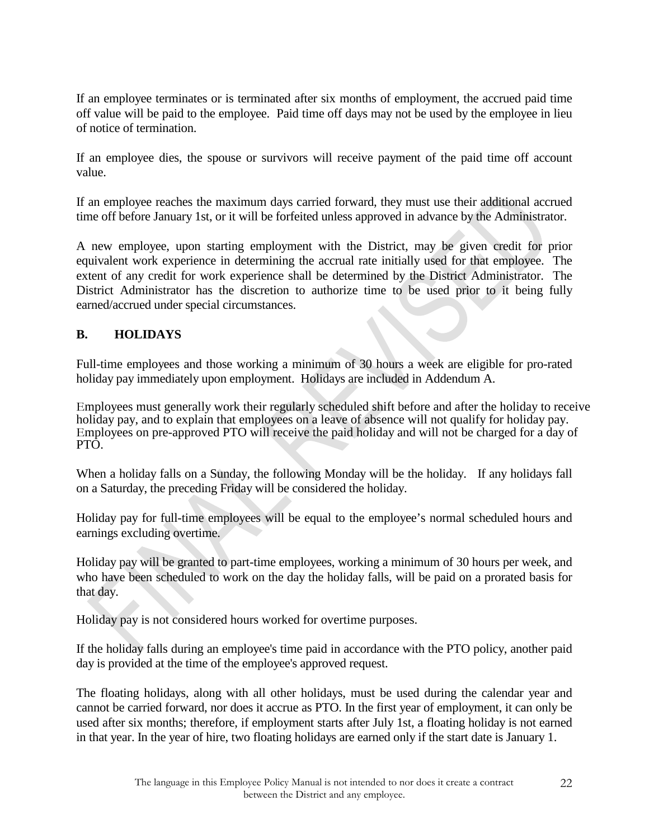If an employee terminates or is terminated after six months of employment, the accrued paid time off value will be paid to the employee. Paid time off days may not be used by the employee in lieu of notice of termination.

If an employee dies, the spouse or survivors will receive payment of the paid time off account value.

If an employee reaches the maximum days carried forward, they must use their additional accrued time off before January 1st, or it will be forfeited unless approved in advance by the Administrator.

A new employee, upon starting employment with the District, may be given credit for prior equivalent work experience in determining the accrual rate initially used for that employee. The extent of any credit for work experience shall be determined by the District Administrator. The District Administrator has the discretion to authorize time to be used prior to it being fully earned/accrued under special circumstances.

#### <span id="page-22-0"></span>**B. HOLIDAYS**

Full-time employees and those working a minimum of 30 hours a week are eligible for pro-rated holiday pay immediately upon employment. Holidays are included in Addendum A.

Employees must generally work their regularly scheduled shift before and after the holiday to receive holiday pay, and to explain that employees on a leave of absence will not qualify for holiday pay. Employees on pre-approved PTO will receive the paid holiday and will not be charged for a day of PTO.

When a holiday falls on a Sunday, the following Monday will be the holiday. If any holidays fall on a Saturday, the preceding Friday will be considered the holiday.

Holiday pay for full-time employees will be equal to the employee's normal scheduled hours and earnings excluding overtime.

Holiday pay will be granted to part-time employees, working a minimum of 30 hours per week, and who have been scheduled to work on the day the holiday falls, will be paid on a prorated basis for that day.

Holiday pay is not considered hours worked for overtime purposes.

If the holiday falls during an employee's time paid in accordance with the PTO policy, another paid day is provided at the time of the employee's approved request.

The floating holidays, along with all other holidays, must be used during the calendar year and cannot be carried forward, nor does it accrue as PTO. In the first year of employment, it can only be used after six months; therefore, if employment starts after July 1st, a floating holiday is not earned in that year. In the year of hire, two floating holidays are earned only if the start date is January 1.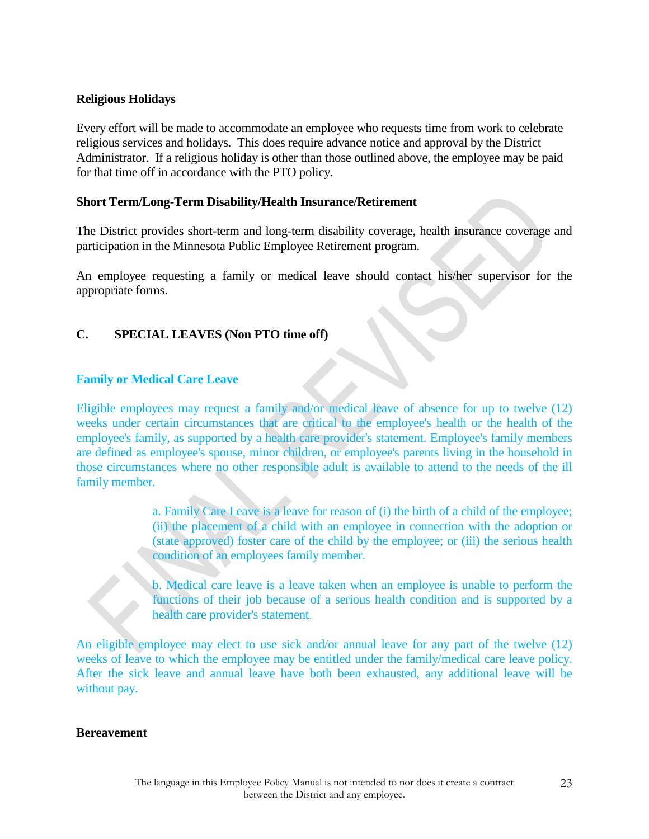#### **Religious Holidays**

Every effort will be made to accommodate an employee who requests time from work to celebrate religious services and holidays. This does require advance notice and approval by the District Administrator. If a religious holiday is other than those outlined above, the employee may be paid for that time off in accordance with the PTO policy.

#### **Short Term/Long-Term Disability/Health Insurance/Retirement**

The District provides short-term and long-term disability coverage, health insurance coverage and participation in the Minnesota Public Employee Retirement program.

An employee requesting a family or medical leave should contact his/her supervisor for the appropriate forms.

#### <span id="page-23-0"></span>**C. SPECIAL LEAVES (Non PTO time off)**

#### **Family or Medical Care Leave**

Eligible employees may request a family and/or medical leave of absence for up to twelve (12) weeks under certain circumstances that are critical to the employee's health or the health of the employee's family, as supported by a health care provider's statement. Employee's family members are defined as employee's spouse, minor children, or employee's parents living in the household in those circumstances where no other responsible adult is available to attend to the needs of the ill family member.

> a. Family Care Leave is a leave for reason of (i) the birth of a child of the employee; (ii) the placement of a child with an employee in connection with the adoption or (state approved) foster care of the child by the employee; or (iii) the serious health condition of an employees family member.

> b. Medical care leave is a leave taken when an employee is unable to perform the functions of their job because of a serious health condition and is supported by a health care provider's statement.

An eligible employee may elect to use sick and/or annual leave for any part of the twelve (12) weeks of leave to which the employee may be entitled under the family/medical care leave policy. After the sick leave and annual leave have both been exhausted, any additional leave will be without pay.

#### **Bereavement**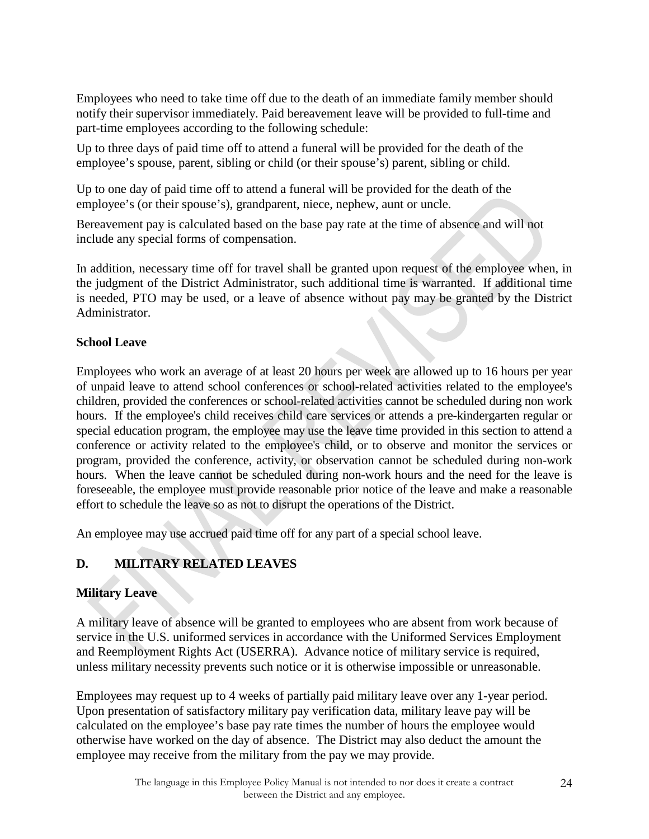Employees who need to take time off due to the death of an immediate family member should notify their supervisor immediately. Paid bereavement leave will be provided to full-time and part-time employees according to the following schedule:

Up to three days of paid time off to attend a funeral will be provided for the death of the employee's spouse, parent, sibling or child (or their spouse's) parent, sibling or child.

Up to one day of paid time off to attend a funeral will be provided for the death of the employee's (or their spouse's), grandparent, niece, nephew, aunt or uncle.

Bereavement pay is calculated based on the base pay rate at the time of absence and will not include any special forms of compensation.

In addition, necessary time off for travel shall be granted upon request of the employee when, in the judgment of the District Administrator, such additional time is warranted. If additional time is needed, PTO may be used, or a leave of absence without pay may be granted by the District Administrator.

#### **School Leave**

Employees who work an average of at least 20 hours per week are allowed up to 16 hours per year of unpaid leave to attend school conferences or school-related activities related to the employee's children, provided the conferences or school-related activities cannot be scheduled during non work hours. If the employee's child receives child care services or attends a pre-kindergarten regular or special education program, the employee may use the leave time provided in this section to attend a conference or activity related to the employee's child, or to observe and monitor the services or program, provided the conference, activity, or observation cannot be scheduled during non-work hours. When the leave cannot be scheduled during non-work hours and the need for the leave is foreseeable, the employee must provide reasonable prior notice of the leave and make a reasonable effort to schedule the leave so as not to disrupt the operations of the District.

An employee may use accrued paid time off for any part of a special school leave.

## <span id="page-24-0"></span>**D. MILITARY RELATED LEAVES**

## **Military Leave**

A military leave of absence will be granted to employees who are absent from work because of service in the U.S. uniformed services in accordance with the Uniformed Services Employment and Reemployment Rights Act (USERRA). Advance notice of military service is required, unless military necessity prevents such notice or it is otherwise impossible or unreasonable.

Employees may request up to 4 weeks of partially paid military leave over any 1-year period. Upon presentation of satisfactory military pay verification data, military leave pay will be calculated on the employee's base pay rate times the number of hours the employee would otherwise have worked on the day of absence. The District may also deduct the amount the employee may receive from the military from the pay we may provide.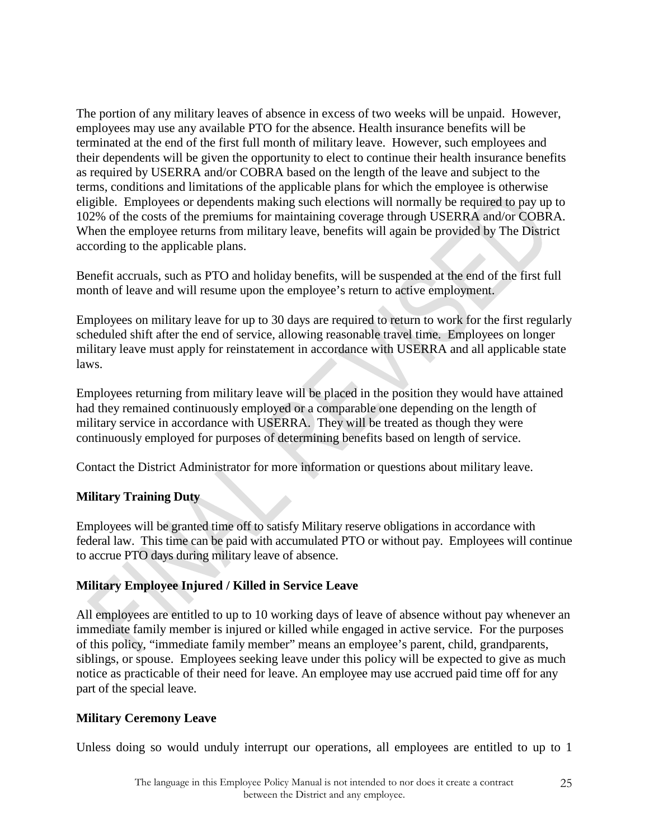The portion of any military leaves of absence in excess of two weeks will be unpaid. However, employees may use any available PTO for the absence. Health insurance benefits will be terminated at the end of the first full month of military leave. However, such employees and their dependents will be given the opportunity to elect to continue their health insurance benefits as required by USERRA and/or COBRA based on the length of the leave and subject to the terms, conditions and limitations of the applicable plans for which the employee is otherwise eligible. Employees or dependents making such elections will normally be required to pay up to 102% of the costs of the premiums for maintaining coverage through USERRA and/or COBRA. When the employee returns from military leave, benefits will again be provided by The District according to the applicable plans.

Benefit accruals, such as PTO and holiday benefits, will be suspended at the end of the first full month of leave and will resume upon the employee's return to active employment.

Employees on military leave for up to 30 days are required to return to work for the first regularly scheduled shift after the end of service, allowing reasonable travel time. Employees on longer military leave must apply for reinstatement in accordance with USERRA and all applicable state laws.

Employees returning from military leave will be placed in the position they would have attained had they remained continuously employed or a comparable one depending on the length of military service in accordance with USERRA. They will be treated as though they were continuously employed for purposes of determining benefits based on length of service.

Contact the District Administrator for more information or questions about military leave.

#### **Military Training Duty**

Employees will be granted time off to satisfy Military reserve obligations in accordance with federal law. This time can be paid with accumulated PTO or without pay. Employees will continue to accrue PTO days during military leave of absence.

#### **Military Employee Injured / Killed in Service Leave**

All employees are entitled to up to 10 working days of leave of absence without pay whenever an immediate family member is injured or killed while engaged in active service. For the purposes of this policy, "immediate family member" means an employee's parent, child, grandparents, siblings, or spouse. Employees seeking leave under this policy will be expected to give as much notice as practicable of their need for leave. An employee may use accrued paid time off for any part of the special leave.

#### **Military Ceremony Leave**

Unless doing so would unduly interrupt our operations, all employees are entitled to up to 1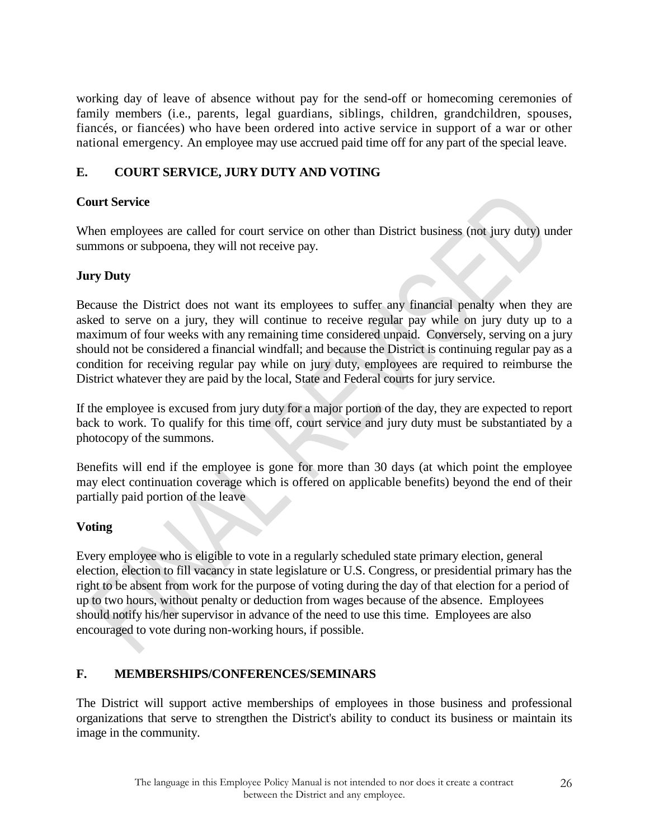working day of leave of absence without pay for the send-off or homecoming ceremonies of family members (i.e., parents, legal guardians, siblings, children, grandchildren, spouses, fiancés, or fiancées) who have been ordered into active service in support of a war or other national emergency. An employee may use accrued paid time off for any part of the special leave.

#### <span id="page-26-0"></span>**E. COURT SERVICE, JURY DUTY AND VOTING**

#### **Court Service**

When employees are called for court service on other than District business (not jury duty) under summons or subpoena, they will not receive pay.

#### **Jury Duty**

Because the District does not want its employees to suffer any financial penalty when they are asked to serve on a jury, they will continue to receive regular pay while on jury duty up to a maximum of four weeks with any remaining time considered unpaid. Conversely, serving on a jury should not be considered a financial windfall; and because the District is continuing regular pay as a condition for receiving regular pay while on jury duty, employees are required to reimburse the District whatever they are paid by the local, State and Federal courts for jury service.

If the employee is excused from jury duty for a major portion of the day, they are expected to report back to work. To qualify for this time off, court service and jury duty must be substantiated by a photocopy of the summons.

Benefits will end if the employee is gone for more than 30 days (at which point the employee may elect continuation coverage which is offered on applicable benefits) beyond the end of their partially paid portion of the leave

#### **Voting**

Every employee who is eligible to vote in a regularly scheduled state primary election, general election, election to fill vacancy in state legislature or U.S. Congress, or presidential primary has the right to be absent from work for the purpose of voting during the day of that election for a period of up to two hours, without penalty or deduction from wages because of the absence. Employees should notify his/her supervisor in advance of the need to use this time. Employees are also encouraged to vote during non-working hours, if possible.

#### <span id="page-26-1"></span>**F. MEMBERSHIPS/CONFERENCES/SEMINARS**

The District will support active memberships of employees in those business and professional organizations that serve to strengthen the District's ability to conduct its business or maintain its image in the community.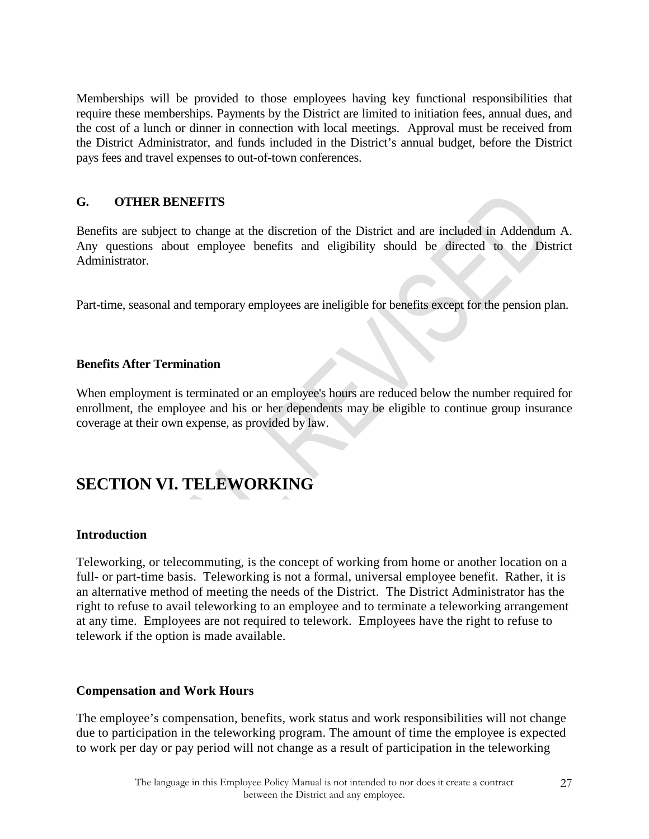Memberships will be provided to those employees having key functional responsibilities that require these memberships. Payments by the District are limited to initiation fees, annual dues, and the cost of a lunch or dinner in connection with local meetings. Approval must be received from the District Administrator, and funds included in the District's annual budget, before the District pays fees and travel expenses to out-of-town conferences.

#### <span id="page-27-0"></span>**G. OTHER BENEFITS**

Benefits are subject to change at the discretion of the District and are included in Addendum A. Any questions about employee benefits and eligibility should be directed to the District Administrator.

Part-time, seasonal and temporary employees are ineligible for benefits except for the pension plan.

#### **Benefits After Termination**

When employment is terminated or an employee's hours are reduced below the number required for enrollment, the employee and his or her dependents may be eligible to continue group insurance coverage at their own expense, as provided by law.

# <span id="page-27-1"></span>**SECTION VI. TELEWORKING**

#### **Introduction**

Teleworking, or telecommuting, is the concept of working from home or another location on a full- or part-time basis. Teleworking is not a formal, universal employee benefit. Rather, it is an alternative method of meeting the needs of the District. The District Administrator has the right to refuse to avail teleworking to an employee and to terminate a teleworking arrangement at any time. Employees are not required to telework. Employees have the right to refuse to telework if the option is made available.

#### **Compensation and Work Hours**

The employee's compensation, benefits, work status and work responsibilities will not change due to participation in the teleworking program. The amount of time the employee is expected to work per day or pay period will not change as a result of participation in the teleworking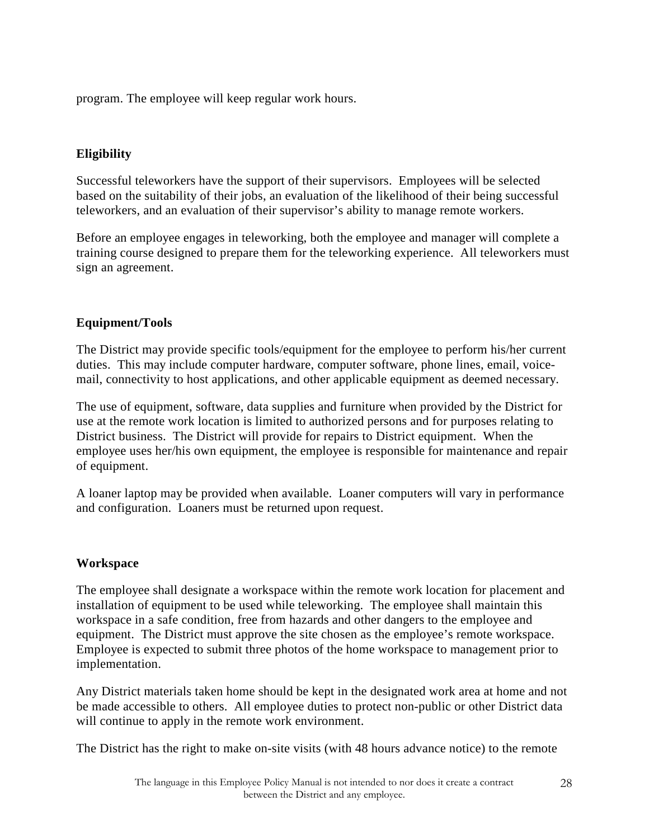program. The employee will keep regular work hours.

#### **Eligibility**

Successful teleworkers have the support of their supervisors. Employees will be selected based on the suitability of their jobs, an evaluation of the likelihood of their being successful teleworkers, and an evaluation of their supervisor's ability to manage remote workers.

Before an employee engages in teleworking, both the employee and manager will complete a training course designed to prepare them for the teleworking experience. All teleworkers must sign an agreement.

#### **Equipment/Tools**

The District may provide specific tools/equipment for the employee to perform his/her current duties. This may include computer hardware, computer software, phone lines, email, voicemail, connectivity to host applications, and other applicable equipment as deemed necessary.

The use of equipment, software, data supplies and furniture when provided by the District for use at the remote work location is limited to authorized persons and for purposes relating to District business. The District will provide for repairs to District equipment. When the employee uses her/his own equipment, the employee is responsible for maintenance and repair of equipment.

A loaner laptop may be provided when available. Loaner computers will vary in performance and configuration. Loaners must be returned upon request.

#### **Workspace**

The employee shall designate a workspace within the remote work location for placement and installation of equipment to be used while teleworking. The employee shall maintain this workspace in a safe condition, free from hazards and other dangers to the employee and equipment. The District must approve the site chosen as the employee's remote workspace. Employee is expected to submit three photos of the home workspace to management prior to implementation.

Any District materials taken home should be kept in the designated work area at home and not be made accessible to others. All employee duties to protect non-public or other District data will continue to apply in the remote work environment.

The District has the right to make on-site visits (with 48 hours advance notice) to the remote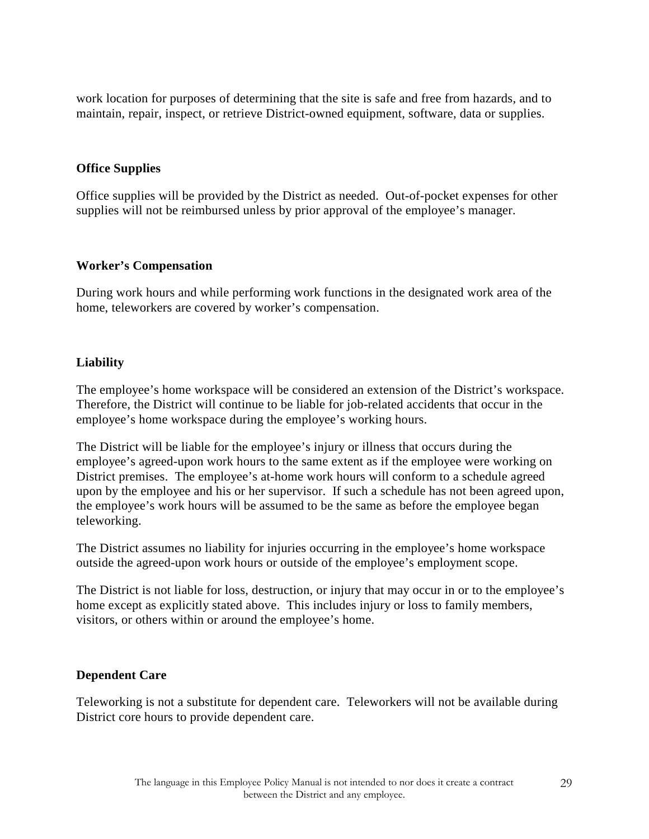work location for purposes of determining that the site is safe and free from hazards, and to maintain, repair, inspect, or retrieve District-owned equipment, software, data or supplies.

#### **Office Supplies**

Office supplies will be provided by the District as needed. Out-of-pocket expenses for other supplies will not be reimbursed unless by prior approval of the employee's manager.

#### **Worker's Compensation**

During work hours and while performing work functions in the designated work area of the home, teleworkers are covered by worker's compensation.

#### **Liability**

The employee's home workspace will be considered an extension of the District's workspace. Therefore, the District will continue to be liable for job-related accidents that occur in the employee's home workspace during the employee's working hours.

The District will be liable for the employee's injury or illness that occurs during the employee's agreed-upon work hours to the same extent as if the employee were working on District premises. The employee's at-home work hours will conform to a schedule agreed upon by the employee and his or her supervisor. If such a schedule has not been agreed upon, the employee's work hours will be assumed to be the same as before the employee began teleworking.

The District assumes no liability for injuries occurring in the employee's home workspace outside the agreed-upon work hours or outside of the employee's employment scope.

The District is not liable for loss, destruction, or injury that may occur in or to the employee's home except as explicitly stated above. This includes injury or loss to family members, visitors, or others within or around the employee's home.

#### **Dependent Care**

Teleworking is not a substitute for dependent care. Teleworkers will not be available during District core hours to provide dependent care.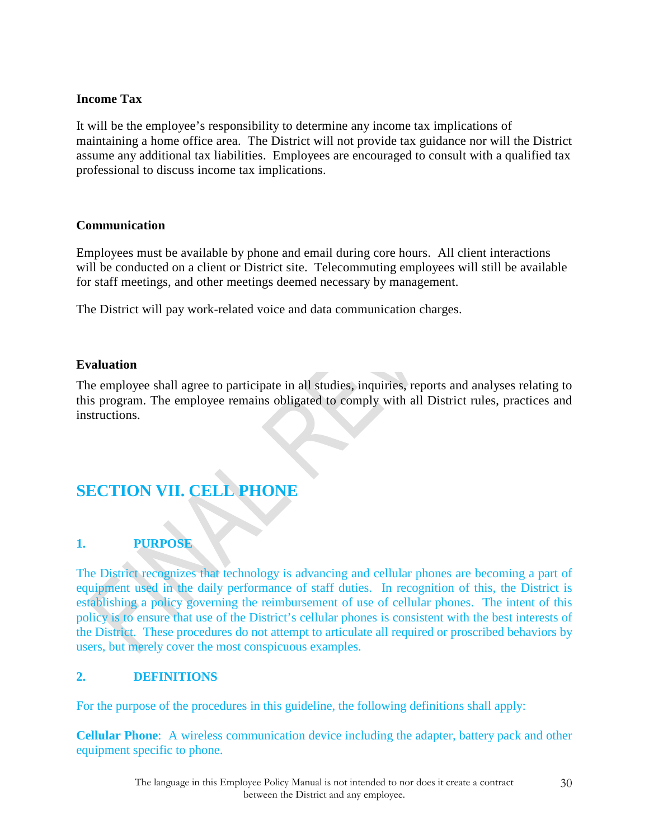#### **Income Tax**

It will be the employee's responsibility to determine any income tax implications of maintaining a home office area. The District will not provide tax guidance nor will the District assume any additional tax liabilities. Employees are encouraged to consult with a qualified tax professional to discuss income tax implications.

#### **Communication**

Employees must be available by phone and email during core hours. All client interactions will be conducted on a client or District site. Telecommuting employees will still be available for staff meetings, and other meetings deemed necessary by management.

The District will pay work-related voice and data communication charges.

#### **Evaluation**

The employee shall agree to participate in all studies, inquiries, reports and analyses relating to this program. The employee remains obligated to comply with all District rules, practices and instructions.

# <span id="page-30-0"></span>**SECTION VII. CELL PHONE**

## **1. PURPOSE**

The District recognizes that technology is advancing and cellular phones are becoming a part of equipment used in the daily performance of staff duties. In recognition of this, the District is establishing a policy governing the reimbursement of use of cellular phones. The intent of this policy is to ensure that use of the District's cellular phones is consistent with the best interests of the District. These procedures do not attempt to articulate all required or proscribed behaviors by users, but merely cover the most conspicuous examples.

#### **2. DEFINITIONS**

For the purpose of the procedures in this guideline, the following definitions shall apply:

**Cellular Phone**: A wireless communication device including the adapter, battery pack and other equipment specific to phone.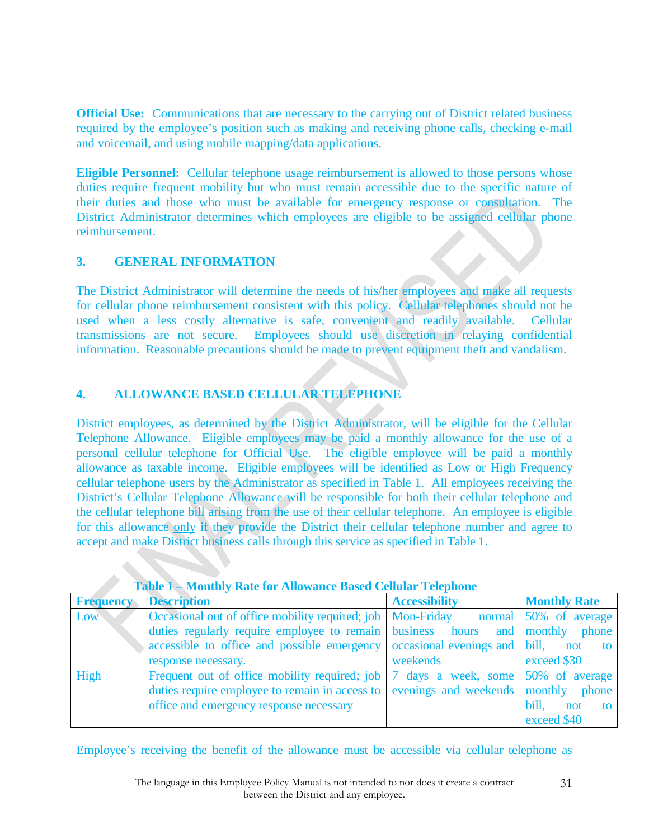**Official Use:** Communications that are necessary to the carrying out of District related business required by the employee's position such as making and receiving phone calls, checking e-mail and voicemail, and using mobile mapping/data applications.

**Eligible Personnel:** Cellular telephone usage reimbursement is allowed to those persons whose duties require frequent mobility but who must remain accessible due to the specific nature of their duties and those who must be available for emergency response or consultation. The District Administrator determines which employees are eligible to be assigned cellular phone reimbursement.

#### **3. GENERAL INFORMATION**

The District Administrator will determine the needs of his/her employees and make all requests for cellular phone reimbursement consistent with this policy. Cellular telephones should not be used when a less costly alternative is safe, convenient and readily available. Cellular transmissions are not secure. Employees should use discretion in relaying confidential information. Reasonable precautions should be made to prevent equipment theft and vandalism.

## **4. ALLOWANCE BASED CELLULAR TELEPHONE**

District employees, as determined by the District Administrator, will be eligible for the Cellular Telephone Allowance. Eligible employees may be paid a monthly allowance for the use of a personal cellular telephone for Official Use. The eligible employee will be paid a monthly allowance as taxable income. Eligible employees will be identified as Low or High Frequency cellular telephone users by the Administrator as specified in Table 1. All employees receiving the District's Cellular Telephone Allowance will be responsible for both their cellular telephone and the cellular telephone bill arising from the use of their cellular telephone. An employee is eligible for this allowance only if they provide the District their cellular telephone number and agree to accept and make District business calls through this service as specified in Table 1.

| <u> Fabie I – Montiny Kate Ivi Anowance Based Central Telephone</u> |                                                                                  |                      |                       |  |
|---------------------------------------------------------------------|----------------------------------------------------------------------------------|----------------------|-----------------------|--|
| <b>Frequency</b>                                                    | <b>Description</b>                                                               | <b>Accessibility</b> | <b>Monthly Rate</b>   |  |
| Low                                                                 | Occasional out of office mobility required; job   Mon-Friday                     |                      | normal 50% of average |  |
|                                                                     | duties regularly require employee to remain business hours                       |                      | phone<br>and monthly  |  |
|                                                                     | accessible to office and possible emergency occasional evenings and bill,        |                      | not<br>to to          |  |
|                                                                     | response necessary.                                                              | weekends             | exceed \$30           |  |
| High                                                                | Frequent out of office mobility required; job 7 days a week, some 50% of average |                      |                       |  |
|                                                                     | duties require employee to remain in access to evenings and weekends monthly     |                      | phone                 |  |
|                                                                     | office and emergency response necessary                                          |                      | bill,<br>to<br>not    |  |
|                                                                     |                                                                                  |                      | exceed \$40           |  |

## **Table 1 – Monthly Rate for Allowance Based Cellular Telephone**

Employee's receiving the benefit of the allowance must be accessible via cellular telephone as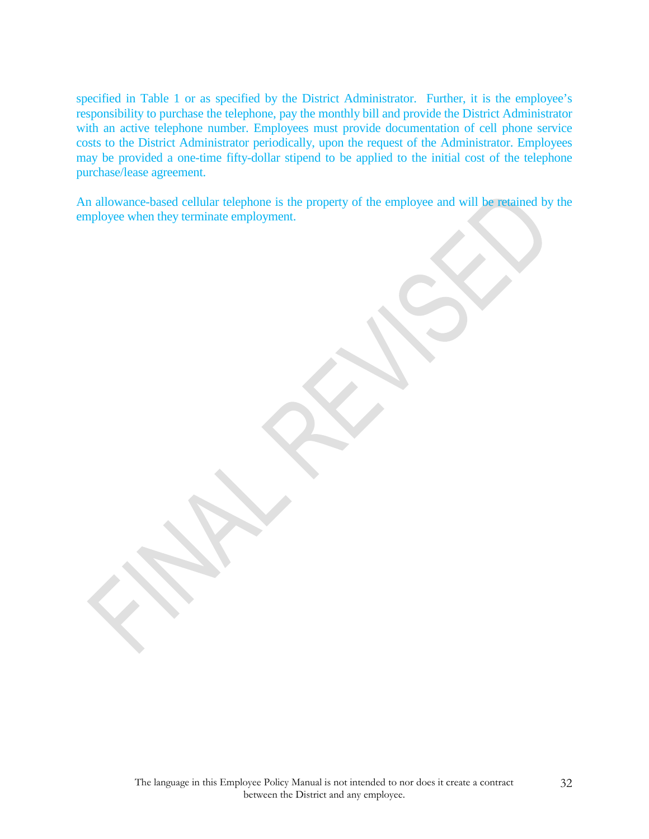specified in Table 1 or as specified by the District Administrator. Further, it is the employee's responsibility to purchase the telephone, pay the monthly bill and provide the District Administrator with an active telephone number. Employees must provide documentation of cell phone service costs to the District Administrator periodically, upon the request of the Administrator. Employees may be provided a one-time fifty-dollar stipend to be applied to the initial cost of the telephone purchase/lease agreement.

An allowance-based cellular telephone is the property of the employee and will be retained by the employee when they terminate employment.

The language in this Employee Policy Manual is not intended to nor does it create a contract between the District and any employee.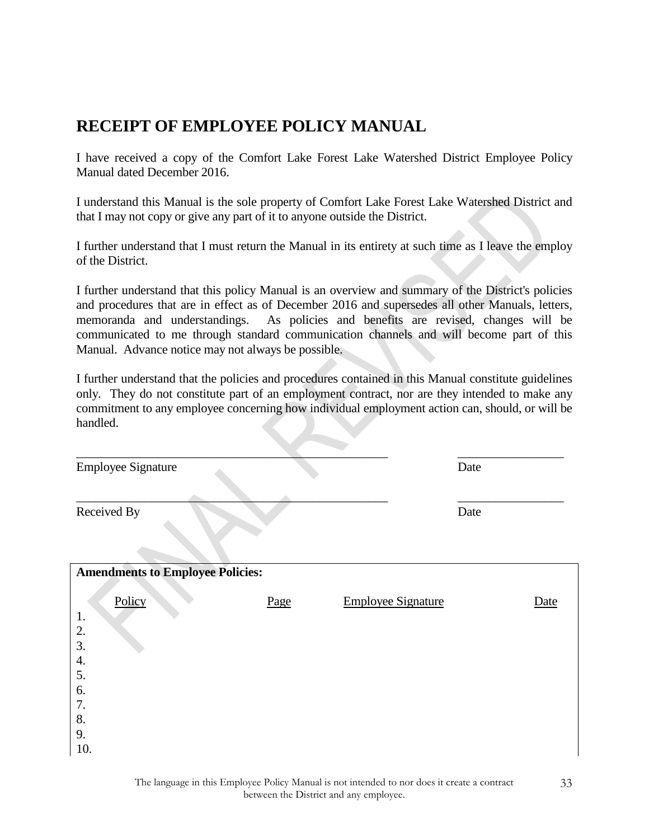# <span id="page-33-0"></span>**RECEIPT OF EMPLOYEE POLICY MANUAL**

I have received a copy of the Comfort Lake Forest Lake Watershed District Employee Policy Manual dated December 2016.

I understand this Manual is the sole property of Comfort Lake Forest Lake Watershed District and that I may not copy or give any part of it to anyone outside the District.

I further understand that I must return the Manual in its entirety at such time as I leave the employ of the District.

I further understand that this policy Manual is an overview and summary of the District's policies and procedures that are in effect as of December 2016 and supersedes all other Manuals, letters, memoranda and understandings. As policies and benefits are revised, changes will be communicated to me through standard communication channels and will become part of this Manual. Advance notice may not always be possible.

I further understand that the policies and procedures contained in this Manual constitute guidelines only. They do not constitute part of an employment contract, nor are they intended to make any commitment to any employee concerning how individual employment action can, should, or will be handled.

| <b>Employee Signature</b>                                           |      |                           | Date |  |
|---------------------------------------------------------------------|------|---------------------------|------|--|
| Received By                                                         |      |                           | Date |  |
| <b>Amendments to Employee Policies:</b>                             |      |                           |      |  |
| Policy<br>1.<br>2.<br>3.<br>4.<br>5.<br>6.<br>7.<br>8.<br>9.<br>10. | Page | <b>Employee Signature</b> | Date |  |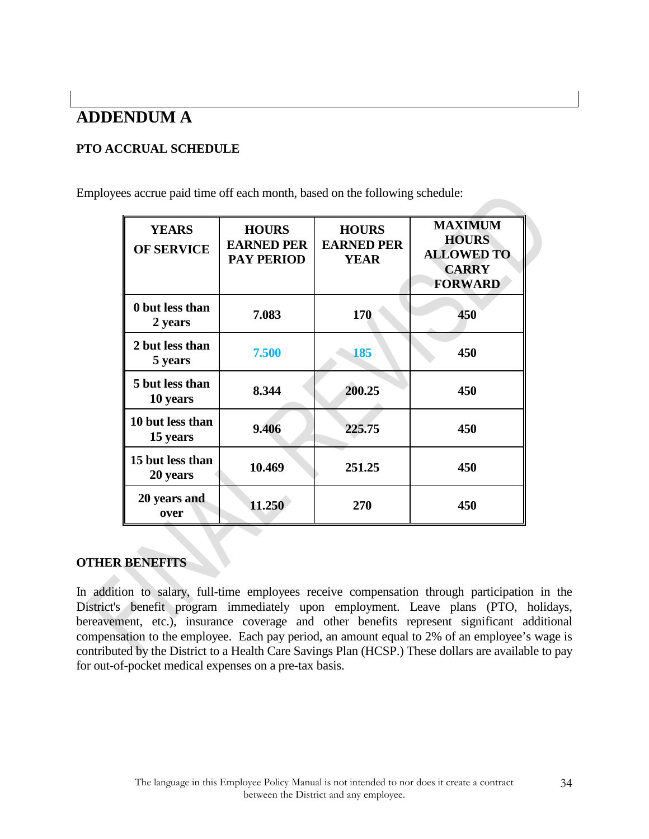# <span id="page-34-0"></span>**ADDENDUM A**

## <span id="page-34-1"></span>**PTO ACCRUAL SCHEDULE**

Employees accrue paid time off each month, based on the following schedule:

| <b>YEARS</b><br><b>OF SERVICE</b> | <b>HOURS</b><br><b>EARNED PER</b><br><b>PAY PERIOD</b> | <b>HOURS</b><br><b>EARNED PER</b><br><b>YEAR</b> | <b>MAXIMUM</b><br><b>HOURS</b><br><b>ALLOWED TO</b><br><b>CARRY</b><br><b>FORWARD</b> |
|-----------------------------------|--------------------------------------------------------|--------------------------------------------------|---------------------------------------------------------------------------------------|
| 0 but less than<br>2 years        | 7.083                                                  | 170                                              | 450                                                                                   |
| 2 but less than<br>5 years        | 7.500                                                  | 185                                              | 450                                                                                   |
| 5 but less than<br>10 years       | 8.344                                                  | 200.25                                           | 450                                                                                   |
| 10 but less than<br>15 years      | 9.406                                                  | 225.75                                           | 450                                                                                   |
| 15 but less than<br>20 years      | 10.469                                                 | 251.25                                           | 450                                                                                   |
| 20 years and<br>over              | 11.250                                                 | 270                                              | 450                                                                                   |

#### <span id="page-34-2"></span>**OTHER BENEFITS**

In addition to salary, full-time employees receive compensation through participation in the District's benefit program immediately upon employment. Leave plans (PTO, holidays, bereavement, etc.), insurance coverage and other benefits represent significant additional compensation to the employee. Each pay period, an amount equal to 2% of an employee's wage is contributed by the District to a Health Care Savings Plan (HCSP.) These dollars are available to pay for out-of-pocket medical expenses on a pre-tax basis.